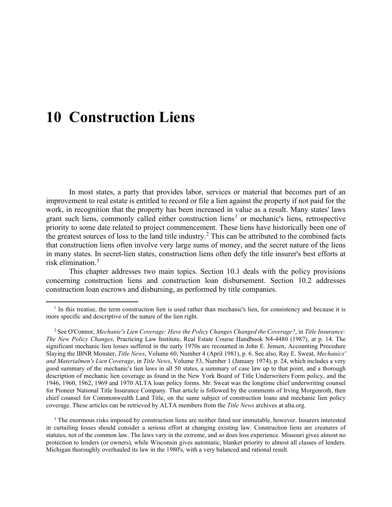In most states, a party that provides labor, services or material that becomes part of an improvement to real estate is entitled to record or file a lien against the property if not paid for the work, in recognition that the property has been increased in value as a result. Many states' laws grant such liens, commonly called either construction liens<sup>[1](#page-0-0)</sup> or mechanic's liens, retrospective priority to some date related to project commencement. These liens have historically been one of the greatest sources of loss to the land title industry.<sup>[2](#page-0-1)</sup> This can be attributed to the combined facts that construction liens often involve very large sums of money, and the secret nature of the liens in many states. In secret-lien states, construction liens often defy the title insurer's best efforts at risk elimination.[3](#page-0-2)

This chapter addresses two main topics. Section 10.1 deals with the policy provisions concerning construction liens and construction loan disbursement. Section 10.2 addresses construction loan escrows and disbursing, as performed by title companies.

<span id="page-0-0"></span> $<sup>1</sup>$  In this treatise, the term construction lien is used rather than mechanic's lien, for consistency and because it is</sup> more specific and descriptive of the nature of the lien right.

<span id="page-0-1"></span> <sup>2</sup> See O'Connor, *Mechanic's Lien Coverage: Have the Policy Changes Changed the Coverage?*, in *Title Insurance: The New Policy Changes*, Practicing Law Institute, Real Estate Course Handbook N4-4480 (1987), at p. 14. The significant mechanic lien losses suffered in the early 1970s are recounted in John E. Jensen, Accounting Procedure Slaying the IBNR Monster, *Title News*, Volume 60, Number 4 (April 1981), p. 6. See also, Ray E. Sweat, *Mechanics' and Materialmen's Lien Coverage*, in *Title News*, Volume 53, Number 1 (January 1974), p. 24, which includes a very good summary of the mechanic's lien laws in all 50 states, a summary of case law up to that point, and a thorough description of mechanic lien coverage as found in the New York Board of Title Underwriters Form policy, and the 1946, 1960, 1962, 1969 and 1970 ALTA loan policy forms. Mr. Sweat was the longtime chief underwriting counsel for Pioneer National Title Insurance Company. That article is followed by the comments of Irving Morgenroth, then chief counsel for Commonwealth Land Title, on the same subject of construction loans and mechanic lien policy coverage. These articles can be retrieved by ALTA members from the *Title News* archives at alta.org.

<span id="page-0-2"></span><sup>&</sup>lt;sup>3</sup> The enormous risks imposed by construction liens are neither fated nor immutable, however. Insurers interested in curtailing losses should consider a serious effort at changing existing law. Construction liens are creatures of statutes, not of the common law. The laws vary in the extreme, and so does loss experience. Missouri gives almost no protection to lenders (or owners), while Wisconsin gives automatic, blanket priority to almost all classes of lenders. Michigan thoroughly overhauled its law in the 1980's, with a very balanced and rational result.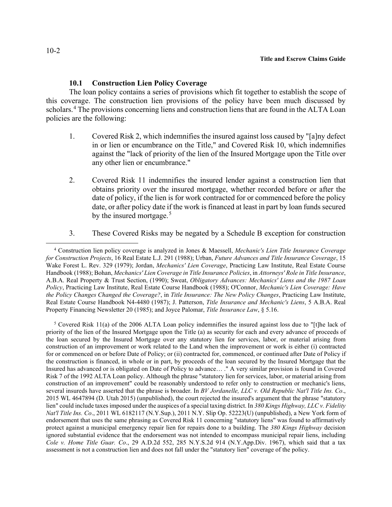# **10.1 Construction Lien Policy Coverage**

The loan policy contains a series of provisions which fit together to establish the scope of this coverage. The construction lien provisions of the policy have been much discussed by scholars.<sup>[4](#page-1-0)</sup> The provisions concerning liens and construction liens that are found in the ALTA Loan policies are the following:

- 1. Covered Risk 2, which indemnifies the insured against loss caused by "[a]ny defect in or lien or encumbrance on the Title," and Covered Risk 10, which indemnifies against the "lack of priority of the lien of the Insured Mortgage upon the Title over any other lien or encumbrance."
- 2. Covered Risk 11 indemnifies the insured lender against a construction lien that obtains priority over the insured mortgage, whether recorded before or after the date of policy, if the lien is for work contracted for or commenced before the policy date, or after policy date if the work is financed at least in part by loan funds secured by the insured mortgage.<sup>[5](#page-1-1)</sup>
- 3. These Covered Risks may be negated by a Schedule B exception for construction

<span id="page-1-1"></span> 5 Covered Risk 11(a) of the 2006 ALTA Loan policy indemnifies the insured against loss due to "[t]he lack of priority of the lien of the Insured Mortgage upon the Title (a) as security for each and every advance of proceeds of the loan secured by the Insured Mortgage over any statutory lien for services, labor, or material arising from construction of an improvement or work related to the Land when the improvement or work is either (i) contracted for or commenced on or before Date of Policy; or (ii) contracted for, commenced, or continued after Date of Policy if the construction is financed, in whole or in part, by proceeds of the loan secured by the Insured Mortgage that the Insured has advanced or is obligated on Date of Policy to advance… ." A very similar provision is found in Covered Risk 7 of the 1992 ALTA Loan policy. Although the phrase "statutory lien for services, labor, or material arising from construction of an improvement" could be reasonably understood to refer only to construction or mechanic's liens, several insureds have asserted that the phrase is broader. In *BV Jordanelle, LLC v. Old Republic Nat'l Title Ins. Co*., 2015 WL 4647894 (D. Utah 2015) (unpublished), the court rejected the insured's argument that the phrase "statutory lien" could include taxes imposed under the auspices of a special taxing district. In *380 Kings Highway, LLC v. Fidelity Nat'l Title Ins. Co*., 2011 WL 6182117 (N.Y.Sup.), 2011 N.Y. Slip Op. 52223(U) (unpublished), a New York form of endorsement that uses the same phrasing as Covered Risk 11 concerning "statutory liens" was found to affirmatively protect against a municipal emergency repair lien for repairs done to a building. The *380 Kings Highway* decision ignored substantial evidence that the endorsement was not intended to encompass municipal repair liens, including *Cole v. Home Title Guar. Co*., 29 A.D.2d 552, 285 N.Y.S.2d 914 (N.Y.App.Div. 1967), which said that a tax assessment is not a construction lien and does not fall under the "statutory lien" coverage of the policy.

<span id="page-1-0"></span> <sup>4</sup> Construction lien policy coverage is analyzed in Jones & Maessell, *Mechanic's Lien Title Insurance Coverage for Construction Projects*, 16 Real Estate L.J. 291 (1988); Urban, *Future Advances and Title Insurance Coverage*, 15 Wake Forest L. Rev. 329 (1979); Jordan, *Mechanics' Lien Coverage*, Practicing Law Institute, Real Estate Course Handbook (1988); Bohan, *Mechanics' Lien Coverage in Title Insurance Policies*, in *Attorneys' Role in Title Insurance*, A.B.A. Real Property & Trust Section, (1990); Sweat, *Obligatory Advances: Mechanics' Liens and the 1987 Loan Policy*, Practicing Law Institute, Real Estate Course Handbook (1988); O'Connor, *Mechanic's Lien Coverage: Have the Policy Changes Changed the Coverage?*, in *Title Insurance: The New Policy Changes*, Practicing Law Institute, Real Estate Course Handbook N4-4480 (1987); J. Patterson, *Title Insurance and Mechanic's Liens*, 5 A.B.A. Real Property Financing Newsletter 20 (1985); and Joyce Palomar, *Title Insurance Law*, § 5.16.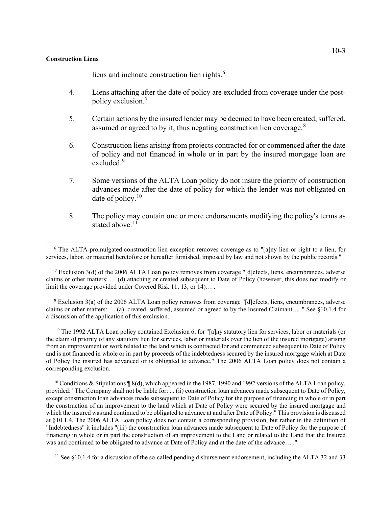liens and inchoate construction lien rights.<sup>[6](#page-2-0)</sup>

- 4. Liens attaching after the date of policy are excluded from coverage under the postpolicy exclusion. [7](#page-2-1)
- 5. Certain actions by the insured lender may be deemed to have been created, suffered, assumed or agreed to by it, thus negating construction lien coverage.<sup>[8](#page-2-2)</sup>
- 6. Construction liens arising from projects contracted for or commenced after the date of policy and not financed in whole or in part by the insured mortgage loan are excluded.<sup>[9](#page-2-3)</sup>
- 7. Some versions of the ALTA Loan policy do not insure the priority of construction advances made after the date of policy for which the lender was not obligated on date of policy.<sup>[10](#page-2-4)</sup>
- 8. The policy may contain one or more endorsements modifying the policy's terms as stated above. $11$

<span id="page-2-1"></span><sup>7</sup> Exclusion 3(d) of the 2006 ALTA Loan policy removes from coverage "[d]efects, liens, encumbrances, adverse claims or other matters: … (d) attaching or created subsequent to Date of Policy (however, this does not modify or limit the coverage provided under Covered Risk 11, 13, or 14)… .

<span id="page-2-2"></span> 8 Exclusion 3(a) of the 2006 ALTA Loan policy removes from coverage "[d]efects, liens, encumbrances, adverse claims or other matters: … (a) created, suffered, assumed or agreed to by the Insured Claimant… ." See §10.1.4 for a discussion of the application of this exclusion.

<span id="page-2-3"></span><sup>9</sup> The 1992 ALTA Loan policy contained Exclusion 6, for "[a]ny statutory lien for services, labor or materials (or the claim of priority of any statutory lien for services, labor or materials over the lien of the insured mortgage) arising from an improvement or work related to the land which is contracted for and commenced subsequent to Date of Policy and is not financed in whole or in part by proceeds of the indebtedness secured by the insured mortgage which at Date of Policy the insured has advanced or is obligated to advance." The 2006 ALTA Loan policy does not contain a corresponding exclusion.

<span id="page-2-4"></span><sup>10</sup> Conditions & Stipulations  $\frac{10}{8}$  (d), which appeared in the 1987, 1990 and 1992 versions of the ALTA Loan policy, provided: "The Company shall not be liable for: ... (ii) construction loan advances made subsequent to Date of Policy, except construction loan advances made subsequent to Date of Policy for the purpose of financing in whole or in part the construction of an improvement to the land which at Date of Policy were secured by the insured mortgage and which the insured was and continued to be obligated to advance at and after Date of Policy." This provision is discussed at §10.1.4. The 2006 ALTA Loan policy does not contain a corresponding provision, but rather in the definition of "Indebtedness" it includes "(iii) the construction loan advances made subsequent to Date of Policy for the purpose of financing in whole or in part the construction of an improvement to the Land or related to the Land that the Insured was and continued to be obligated to advance at Date of Policy and at the date of the advance… ."

<span id="page-2-5"></span><sup>11</sup> See §10.1.4 for a discussion of the so-called pending disbursement endorsement, including the ALTA 32 and 33

<span id="page-2-0"></span> <sup>6</sup> The ALTA-promulgated construction lien exception removes coverage as to "[a]ny lien or right to a lien, for services, labor, or material heretofore or hereafter furnished, imposed by law and not shown by the public records."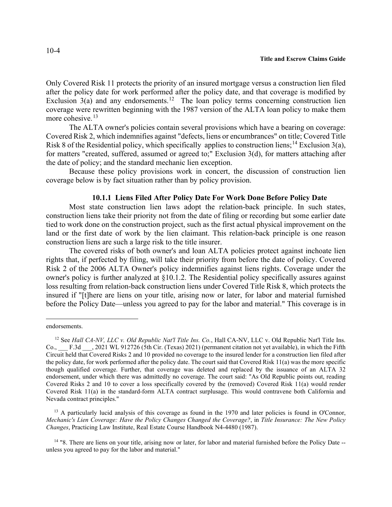Only Covered Risk 11 protects the priority of an insured mortgage versus a construction lien filed after the policy date for work performed after the policy date, and that coverage is modified by Exclusion  $3(a)$  and any endorsements.<sup>[12](#page-3-0)</sup> The loan policy terms concerning construction lien coverage were rewritten beginning with the 1987 version of the ALTA loan policy to make them more cohesive.<sup>[13](#page-3-1)</sup>

The ALTA owner's policies contain several provisions which have a bearing on coverage: Covered Risk 2, which indemnifies against "defects, liens or encumbrances" on title; Covered Title Risk 8 of the Residential policy, which specifically applies to construction liens;<sup>[14](#page-3-2)</sup> Exclusion 3(a), for matters "created, suffered, assumed or agreed to;" Exclusion 3(d), for matters attaching after the date of policy; and the standard mechanic lien exception.

Because these policy provisions work in concert, the discussion of construction lien coverage below is by fact situation rather than by policy provision.

## **10.1.1 Liens Filed After Policy Date For Work Done Before Policy Date**

Most state construction lien laws adopt the relation-back principle. In such states, construction liens take their priority not from the date of filing or recording but some earlier date tied to work done on the construction project, such as the first actual physical improvement on the land or the first date of work by the lien claimant. This relation-back principle is one reason construction liens are such a large risk to the title insurer.

The covered risks of both owner's and loan ALTA policies protect against inchoate lien rights that, if perfected by filing, will take their priority from before the date of policy. Covered Risk 2 of the 2006 ALTA Owner's policy indemnifies against liens rights. Coverage under the owner's policy is further analyzed at §10.1.2. The Residential policy specifically assures against loss resulting from relation-back construction liens under Covered Title Risk 8, which protects the insured if "[t]here are liens on your title, arising now or later, for labor and material furnished before the Policy Date—unless you agreed to pay for the labor and material." This coverage is in

<span id="page-3-1"></span><sup>13</sup> A particularly lucid analysis of this coverage as found in the 1970 and later policies is found in O'Connor, *Mechanic's Lien Coverage: Have the Policy Changes Changed the Coverage?*, in *Title Insurance: The New Policy Changes*, Practicing Law Institute, Real Estate Course Handbook N4-4480 (1987).

<span id="page-3-2"></span><sup>14</sup> "8. There are liens on your title, arising now or later, for labor and material furnished before the Policy Date -unless you agreed to pay for the labor and material."

endorsements.

<span id="page-3-0"></span><sup>12</sup> See *Hall CA-NV, LLC v. Old Republic Nat'l Title Ins. Co.*, Hall CA-NV, LLC v. Old Republic Nat'l Title Ins. Co., F.3d . 2021 WL 912726 (5th Cir. (Texas) 2021) (permanent citation not yet available), in which the Fifth Circuit held that Covered Risks 2 and 10 provided no coverage to the insured lender for a construction lien filed after the policy date, for work performed after the policy date. The court said that Covered Risk 11(a) was the more specific though qualified coverage. Further, that coverage was deleted and replaced by the issuance of an ALTA 32 endorsement, under which there was admittedly no coverage. The court said: "As Old Republic points out, reading Covered Risks 2 and 10 to cover a loss specifically covered by the (removed) Covered Risk 11(a) would render Covered Risk 11(a) in the standard-form ALTA contract surplusage. This would contravene both California and Nevada contract principles."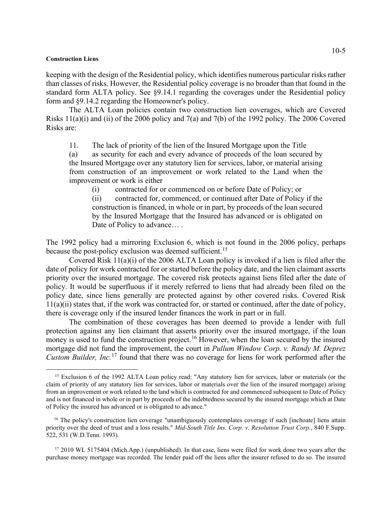keeping with the design of the Residential policy, which identifies numerous particular risks rather than classes of risks. However, the Residential policy coverage is no broader than that found in the standard form ALTA policy. See §9.14.1 regarding the coverages under the Residential policy form and §9.14.2 regarding the Homeowner's policy.

The ALTA Loan policies contain two construction lien coverages, which are Covered Risks 11(a)(i) and (ii) of the 2006 policy and 7(a) and 7(b) of the 1992 policy. The 2006 Covered Risks are:

11. The lack of priority of the lien of the Insured Mortgage upon the Title

(a) as security for each and every advance of proceeds of the loan secured by the Insured Mortgage over any statutory lien for services, labor, or material arising from construction of an improvement or work related to the Land when the improvement or work is either

(i) contracted for or commenced on or before Date of Policy; or

(ii) contracted for, commenced, or continued after Date of Policy if the construction is financed, in whole or in part, by proceeds of the loan secured by the Insured Mortgage that the Insured has advanced or is obligated on Date of Policy to advance....

The 1992 policy had a mirroring Exclusion 6, which is not found in the 2006 policy, perhaps because the post-policy exclusion was deemed sufficient.<sup>[15](#page-4-0)</sup>

Covered Risk 11(a)(i) of the 2006 ALTA Loan policy is invoked if a lien is filed after the date of policy for work contracted for or started before the policy date, and the lien claimant asserts priority over the insured mortgage. The covered risk protects against liens filed after the date of policy. It would be superfluous if it merely referred to liens that had already been filed on the policy date, since liens generally are protected against by other covered risks. Covered Risk 11(a)(ii) states that, if the work was contracted for, or started or continued, after the date of policy, there is coverage only if the insured lender finances the work in part or in full.

The combination of these coverages has been deemed to provide a lender with full protection against any lien claimant that asserts priority over the insured mortgage, if the loan money is used to fund the construction project.<sup>[16](#page-4-1)</sup> However, when the loan secured by the insured mortgage did not fund the improvement, the court in *Pullum Window Corp. v. Randy M. Deprez Custom Builder, Inc.*[17](#page-4-2) found that there was no coverage for liens for work performed after the

<span id="page-4-0"></span><sup>&</sup>lt;sup>15</sup> Exclusion 6 of the 1992 ALTA Loan policy read: "Any statutory lien for services, labor or materials (or the claim of priority of any statutory lien for services, labor or materials over the lien of the insured mortgage) arising from an improvement or work related to the land which is contracted for and commenced subsequent to Date of Policy and is not financed in whole or in part by proceeds of the indebtedness secured by the insured mortgage which at Date of Policy the insured has advanced or is obligated to advance."

<span id="page-4-1"></span><sup>&</sup>lt;sup>16</sup> The policy's construction lien coverage "unambiguously contemplates coverage if such [inchoate] liens attain priority over the deed of trust and a loss results." *Mid-South Title Ins. Corp. v. Resolution Trust Corp.*, 840 F.Supp. 522, 531 (W.D.Tenn. 1993).

<span id="page-4-2"></span><sup>&</sup>lt;sup>17</sup> 2010 WL 5175404 (Mich.App.) (unpublished). In that case, liens were filed for work done two years after the purchase money mortgage was recorded. The lender paid off the liens after the insurer refused to do so. The insured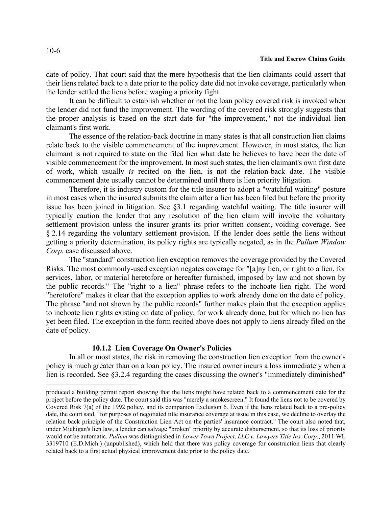date of policy. That court said that the mere hypothesis that the lien claimants could assert that their liens related back to a date prior to the policy date did not invoke coverage, particularly when the lender settled the liens before waging a priority fight.

It can be difficult to establish whether or not the loan policy covered risk is invoked when the lender did not fund the improvement. The wording of the covered risk strongly suggests that the proper analysis is based on the start date for "the improvement," not the individual lien claimant's first work.

The essence of the relation-back doctrine in many states is that all construction lien claims relate back to the visible commencement of the improvement. However, in most states, the lien claimant is not required to state on the filed lien what date he believes to have been the date of visible commencement for the improvement. In most such states, the lien claimant's own first date of work, which usually *is* recited on the lien, is not the relation-back date. The visible commencement date usually cannot be determined until there is lien priority litigation.

Therefore, it is industry custom for the title insurer to adopt a "watchful waiting" posture in most cases when the insured submits the claim after a lien has been filed but before the priority issue has been joined in litigation. See §3.1 regarding watchful waiting. The title insurer will typically caution the lender that any resolution of the lien claim will invoke the voluntary settlement provision unless the insurer grants its prior written consent, voiding coverage. See § 2.14 regarding the voluntary settlement provision. If the lender does settle the liens without getting a priority determination, its policy rights are typically negated, as in the *Pullum Window Corp.* case discussed above.

The "standard" construction lien exception removes the coverage provided by the Covered Risks. The most commonly-used exception negates coverage for "[a]ny lien, or right to a lien, for services, labor, or material heretofore or hereafter furnished, imposed by law and not shown by the public records." The "right to a lien" phrase refers to the inchoate lien right. The word "heretofore" makes it clear that the exception applies to work already done on the date of policy. The phrase "and not shown by the public records" further makes plain that the exception applies to inchoate lien rights existing on date of policy, for work already done, but for which no lien has yet been filed. The exception in the form recited above does not apply to liens already filed on the date of policy.

# **10.1.2 Lien Coverage On Owner's Policies**

In all or most states, the risk in removing the construction lien exception from the owner's policy is much greater than on a loan policy. The insured owner incurs a loss immediately when a lien is recorded. See §3.2.4 regarding the cases discussing the owner's "immediately diminished"

produced a building permit report showing that the liens might have related back to a commencement date for the project before the policy date. The court said this was "merely a smokescreen." It found the liens not to be covered by Covered Risk 7(a) of the 1992 policy, and its companion Exclusion 6. Even if the liens related back to a pre-policy date, the court said, "for purposes of negotiated title insurance coverage at issue in this case, we decline to overlay the relation back principle of the Construction Lien Act on the parties' insurance contract." The court also noted that, under Michigan's lien law, a lender can salvage "broken" priority by accurate disbursement, so that its loss of priority would not be automatic. *Pullum* was distinguished in *Lower Town Project, LLC v. Lawyers Title Ins. Corp.*, 2011 WL 3319710 (E.D.Mich.) (unpublished), which held that there was policy coverage for construction liens that clearly related back to a first actual physical improvement date prior to the policy date.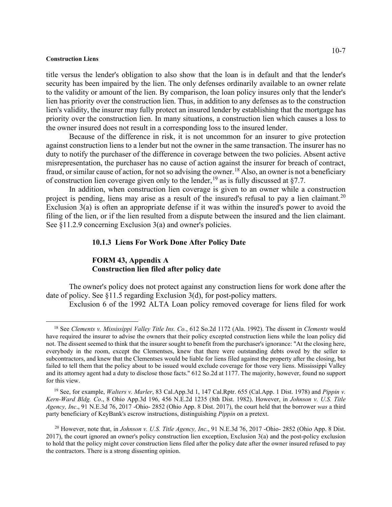title versus the lender's obligation to also show that the loan is in default and that the lender's security has been impaired by the lien. The only defenses ordinarily available to an owner relate to the validity or amount of the lien. By comparison, the loan policy insures only that the lender's lien has priority over the construction lien. Thus, in addition to any defenses as to the construction lien's validity, the insurer may fully protect an insured lender by establishing that the mortgage has priority over the construction lien. In many situations, a construction lien which causes a loss to the owner insured does not result in a corresponding loss to the insured lender.

Because of the difference in risk, it is not uncommon for an insurer to give protection against construction liens to a lender but not the owner in the same transaction. The insurer has no duty to notify the purchaser of the difference in coverage between the two policies. Absent active misrepresentation, the purchaser has no cause of action against the insurer for breach of contract, fraud, or similar cause of action, for not so advising the owner.<sup>[18](#page-6-0)</sup> Also, an owner is not a beneficiary of construction lien coverage given only to the lender,  $^{19}$  $^{19}$  $^{19}$  as is fully discussed at §7.7.

In addition, when construction lien coverage is given to an owner while a construction project is pending, liens may arise as a result of the insured's refusal to pay a lien claimant.<sup>[20](#page-6-2)</sup> Exclusion 3(a) is often an appropriate defense if it was within the insured's power to avoid the filing of the lien, or if the lien resulted from a dispute between the insured and the lien claimant. See §11.2.9 concerning Exclusion 3(a) and owner's policies.

## **10.1.3 Liens For Work Done After Policy Date**

# **FORM 43, Appendix A Construction lien filed after policy date**

The owner's policy does not protect against any construction liens for work done after the date of policy. See §11.5 regarding Exclusion 3(d), for post-policy matters.

Exclusion 6 of the 1992 ALTA Loan policy removed coverage for liens filed for work

<span id="page-6-0"></span> <sup>18</sup> See *Clements v. Mississippi Valley Title Ins. Co.*, 612 So.2d 1172 (Ala. 1992). The dissent in *Clements* would have required the insurer to advise the owners that their policy excepted construction liens while the loan policy did not. The dissent seemed to think that the insurer sought to benefit from the purchaser's ignorance: "At the closing here, everybody in the room, except the Clementses, knew that there were outstanding debts owed by the seller to subcontractors, and knew that the Clementses would be liable for liens filed against the property after the closing, but failed to tell them that the policy about to be issued would exclude coverage for those very liens. Mississippi Valley and its attorney agent had a duty to disclose those facts." 612 So.2d at 1177. The majority, however, found no support for this view.

<span id="page-6-1"></span> <sup>19</sup> See, for example, *Walters v. Marler*, 83 Cal.App.3d 1, 147 Cal.Rptr. 655 (Cal.App. 1 Dist. 1978) and *Pippin v. Kern-Ward Bldg. Co*., 8 Ohio App.3d 196, 456 N.E.2d 1235 (8th Dist. 1982). However, in *Johnson v. U.S. Title Agency, Inc*., 91 N.E.3d 76, 2017 -Ohio- 2852 (Ohio App. 8 Dist. 2017), the court held that the borrower *was* a third party beneficiary of KeyBank's escrow instructions, distinguishing *Pippin* on a pretext.

<span id="page-6-2"></span><sup>&</sup>lt;sup>20</sup> However, note that, in *Johnson v. U.S. Title Agency, Inc.*, 91 N.E.3d 76, 2017 -Ohio- 2852 (Ohio App. 8 Dist. 2017), the court ignored an owner's policy construction lien exception, Exclusion 3(a) and the post-policy exclusion to hold that the policy might cover construction liens filed after the policy date after the owner insured refused to pay the contractors. There is a strong dissenting opinion.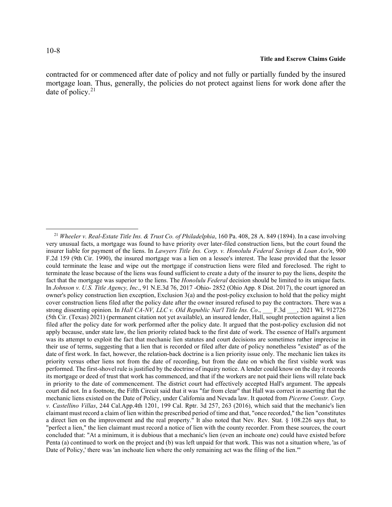contracted for or commenced after date of policy and not fully or partially funded by the insured mortgage loan. Thus, generally, the policies do not protect against liens for work done after the date of policy. $21$ 

<span id="page-7-0"></span> <sup>21</sup> *Wheeler v. Real-Estate Title Ins. & Trust Co. of Philadelphia*, 160 Pa. 408, 28 A. 849 (1894). In a case involving very unusual facts, a mortgage was found to have priority over later-filed construction liens, but the court found the insurer liable for payment of the liens. In *Lawyers Title Ins. Corp. v. Honolulu Federal Savings & Loan Ass'n*, 900 F.2d 159 (9th Cir. 1990), the insured mortgage was a lien on a lessee's interest. The lease provided that the lessor could terminate the lease and wipe out the mortgage if construction liens were filed and foreclosed. The right to terminate the lease because of the liens was found sufficient to create a duty of the insurer to pay the liens, despite the fact that the mortgage was superior to the liens. The *Honolulu Federal* decision should be limited to its unique facts. In *Johnson v. U.S. Title Agency, Inc*., 91 N.E.3d 76, 2017 -Ohio- 2852 (Ohio App. 8 Dist. 2017), the court ignored an owner's policy construction lien exception, Exclusion 3(a) and the post-policy exclusion to hold that the policy might cover construction liens filed after the policy date after the owner insured refused to pay the contractors. There was a strong dissenting opinion. In *Hall CA-NV, LLC v. Old Republic Nat'l Title Ins. Co.*, F.3d , 2021 WL 912726 (5th Cir. (Texas) 2021) (permanent citation not yet available), an insured lender, Hall, sought protection against a lien filed after the policy date for work performed after the policy date. It argued that the post-policy exclusion did not apply because, under state law, the lien priority related back to the first date of work. The essence of Hall's argument was its attempt to exploit the fact that mechanic lien statutes and court decisions are sometimes rather imprecise in their use of terms, suggesting that a lien that is recorded or filed after date of policy nonetheless "existed" as of the date of first work. In fact, however, the relation-back doctrine is a lien priority issue only. The mechanic lien takes its priority versus other liens not from the date of recording, but from the date on which the first visible work was performed. The first-shovel rule is justified by the doctrine of inquiry notice. A lender could know on the day it records its mortgage or deed of trust that work has commenced, and that if the workers are not paid their liens will relate back in priority to the date of commencement. The district court had effectively accepted Hall's argument. The appeals court did not. In a footnote, the Fifth Circuit said that it was "far from clear" that Hall was correct in asserting that the mechanic liens existed on the Date of Policy, under California and Nevada law. It quoted from *Picerne Constr. Corp. v. Castellino Villas*, 244 Cal.App.4th 1201, 199 Cal. Rptr. 3d 257, 263 (2016), which said that the mechanic's lien claimant must record a claim of lien within the prescribed period of time and that, "once recorded," the lien "constitutes a direct lien on the improvement and the real property." It also noted that Nev. Rev. Stat. § 108.226 says that, to "perfect a lien," the lien claimant must record a notice of lien with the county recorder. From these sources, the court concluded that: "At a minimum, it is dubious that a mechanic's lien (even an inchoate one) could have existed before Penta (a) continued to work on the project and (b) was left unpaid for that work. This was not a situation where, 'as of Date of Policy,' there was 'an inchoate lien where the only remaining act was the filing of the lien.'"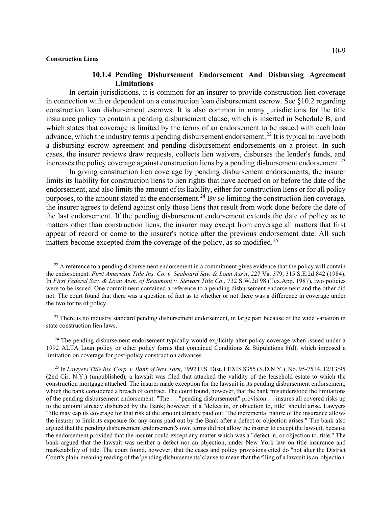# **10.1.4 Pending Disbursement Endorsement And Disbursing Agreement Limitations**

In certain jurisdictions, it is common for an insurer to provide construction lien coverage in connection with or dependent on a construction loan disbursement escrow. See §10.2 regarding construction loan disbursement escrows. It is also common in many jurisdictions for the title insurance policy to contain a pending disbursement clause, which is inserted in Schedule B, and which states that coverage is limited by the terms of an endorsement to be issued with each loan advance, which the industry terms a pending disbursement endorsement.<sup>[22](#page-8-0)</sup> It is typical to have both a disbursing escrow agreement and pending disbursement endorsements on a project. In such cases, the insurer reviews draw requests, collects lien waivers, disburses the lender's funds, and increases the policy coverage against construction liens by a pending disbursement endorsement.<sup>[23](#page-8-1)</sup>

In giving construction lien coverage by pending disbursement endorsements, the insurer limits its liability for construction liens to lien rights that have accrued on or before the date of the endorsement, and also limits the amount of its liability, either for construction liens or for all policy purposes, to the amount stated in the endorsement.<sup>[24](#page-8-2)</sup> By so limiting the construction lien coverage, the insurer agrees to defend against only those liens that result from work done before the date of the last endorsement. If the pending disbursement endorsement extends the date of policy as to matters other than construction liens, the insurer may except from coverage all matters that first appear of record or come to the insurer's notice after the previous endorsement date. All such matters become excepted from the coverage of the policy, as so modified.<sup>[25](#page-8-3)</sup>

<span id="page-8-0"></span><sup>&</sup>lt;sup>22</sup> A reference to a pending disbursement endorsement in a commitment gives evidence that the policy will contain the endorsement. *First American Title Ins. Co. v. Seaboard Sav. & Loan Ass'n*, 227 Va. 379, 315 S.E.2d 842 (1984). In *First Federal Sav. & Loan Assn. of Beaumont v. Stewart Title Co.*, 732 S.W.2d 98 (Tex.App. 1987), two policies were to be issued. One commitment contained a reference to a pending disbursement endorsement and the other did not. The court found that there was a question of fact as to whether or not there was a difference in coverage under the two forms of policy.

<span id="page-8-1"></span><sup>&</sup>lt;sup>23</sup> There is no industry standard pending disbursement endorsement, in large part because of the wide variation in state construction lien laws.

<span id="page-8-2"></span><sup>&</sup>lt;sup>24</sup> The pending disbursement endorsement typically would explicitly alter policy coverage when issued under a 1992 ALTA Loan policy or other policy forms that contained Conditions & Stipulations 8(d), which imposed a limitation on coverage for post-policy construction advances.

<span id="page-8-3"></span><sup>25</sup> In *Lawyers Title Ins. Corp. v. Bank of New York*, 1992 U.S. Dist. LEXIS 8355 (S.D.N.Y.), No. 95-7514, 12/13/95 (2nd Cir. N.Y.) (unpublished), a lawsuit was filed that attacked the validity of the leasehold estate to which the construction mortgage attached. The insurer made exception for the lawsuit in its pending disbursement endorsement, which the bank considered a breach of contract. The court found, however, that the bank misunderstood the limitations of the pending disbursement endorsement: "The … "pending disbursement" provision … insures all covered risks up to the amount already disbursed by the Bank; however, if a "defect in, or objection to, title" should arise, Lawyers Title may cap its coverage for that risk at the amount already paid out. The incremental nature of the insurance allows the insurer to limit its exposure for any sums paid out by the Bank after a defect or objection arises." The bank also argued that the pending disbursement endorsement's own terms did not allow the insurer to except the lawsuit, because the endorsement provided that the insurer could except any matter which was a "defect in, or objection to, title." The bank argued that the lawsuit was neither a defect nor an objection, under New York law on title insurance and marketability of title. The court found, however, that the cases and policy provisions cited do "not alter the District Court's plain-meaning reading of the 'pending disbursements' clause to mean that the filing of a lawsuit is an 'objection'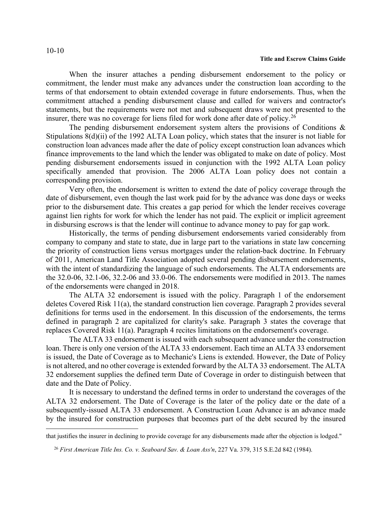When the insurer attaches a pending disbursement endorsement to the policy or commitment, the lender must make any advances under the construction loan according to the terms of that endorsement to obtain extended coverage in future endorsements. Thus, when the commitment attached a pending disbursement clause and called for waivers and contractor's statements, but the requirements were not met and subsequent draws were not presented to the insurer, there was no coverage for liens filed for work done after date of policy.<sup>[26](#page-9-0)</sup>

The pending disbursement endorsement system alters the provisions of Conditions  $\&$ Stipulations 8(d)(ii) of the 1992 ALTA Loan policy, which states that the insurer is not liable for construction loan advances made after the date of policy except construction loan advances which finance improvements to the land which the lender was obligated to make on date of policy. Most pending disbursement endorsements issued in conjunction with the 1992 ALTA Loan policy specifically amended that provision. The 2006 ALTA Loan policy does not contain a corresponding provision.

Very often, the endorsement is written to extend the date of policy coverage through the date of disbursement, even though the last work paid for by the advance was done days or weeks prior to the disbursement date. This creates a gap period for which the lender receives coverage against lien rights for work for which the lender has not paid. The explicit or implicit agreement in disbursing escrows is that the lender will continue to advance money to pay for gap work.

Historically, the terms of pending disbursement endorsements varied considerably from company to company and state to state, due in large part to the variations in state law concerning the priority of construction liens versus mortgages under the relation-back doctrine. In February of 2011, American Land Title Association adopted several pending disbursement endorsements, with the intent of standardizing the language of such endorsements. The ALTA endorsements are the 32.0-06, 32.1-06, 32.2-06 and 33.0-06. The endorsements were modified in 2013. The names of the endorsements were changed in 2018.

The ALTA 32 endorsement is issued with the policy. Paragraph 1 of the endorsement deletes Covered Risk 11(a), the standard construction lien coverage. Paragraph 2 provides several definitions for terms used in the endorsement. In this discussion of the endorsements, the terms defined in paragraph 2 are capitalized for clarity's sake. Paragraph 3 states the coverage that replaces Covered Risk 11(a). Paragraph 4 recites limitations on the endorsement's coverage.

The ALTA 33 endorsement is issued with each subsequent advance under the construction loan. There is only one version of the ALTA 33 endorsement. Each time an ALTA 33 endorsement is issued, the Date of Coverage as to Mechanic's Liens is extended. However, the Date of Policy is not altered, and no other coverage is extended forward by the ALTA 33 endorsement. The ALTA 32 endorsement supplies the defined term Date of Coverage in order to distinguish between that date and the Date of Policy.

It is necessary to understand the defined terms in order to understand the coverages of the ALTA 32 endorsement. The Date of Coverage is the later of the policy date or the date of a subsequently-issued ALTA 33 endorsement. A Construction Loan Advance is an advance made by the insured for construction purposes that becomes part of the debt secured by the insured

<span id="page-9-0"></span>that justifies the insurer in declining to provide coverage for any disbursements made after the objection is lodged."

 <sup>26</sup> *First American Title Ins. Co. v. Seaboard Sav. & Loan Ass'n*, 227 Va. 379, 315 S.E.2d 842 (1984).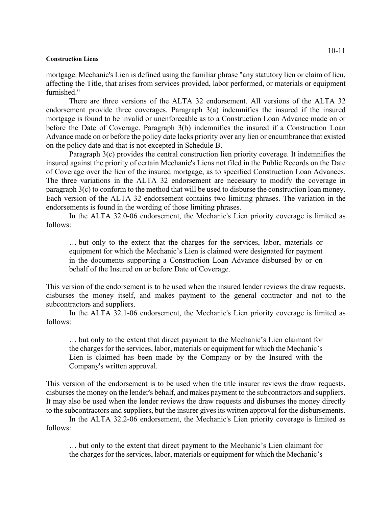mortgage. Mechanic's Lien is defined using the familiar phrase "any statutory lien or claim of lien, affecting the Title, that arises from services provided, labor performed, or materials or equipment furnished."

There are three versions of the ALTA 32 endorsement. All versions of the ALTA 32 endorsement provide three coverages. Paragraph 3(a) indemnifies the insured if the insured mortgage is found to be invalid or unenforceable as to a Construction Loan Advance made on or before the Date of Coverage. Paragraph 3(b) indemnifies the insured if a Construction Loan Advance made on or before the policy date lacks priority over any lien or encumbrance that existed on the policy date and that is not excepted in Schedule B.

Paragraph 3(c) provides the central construction lien priority coverage. It indemnifies the insured against the priority of certain Mechanic's Liens not filed in the Public Records on the Date of Coverage over the lien of the insured mortgage, as to specified Construction Loan Advances. The three variations in the ALTA 32 endorsement are necessary to modify the coverage in paragraph 3(c) to conform to the method that will be used to disburse the construction loan money. Each version of the ALTA 32 endorsement contains two limiting phrases. The variation in the endorsements is found in the wording of those limiting phrases.

In the ALTA 32.0-06 endorsement, the Mechanic's Lien priority coverage is limited as follows:

… but only to the extent that the charges for the services, labor, materials or equipment for which the Mechanic's Lien is claimed were designated for payment in the documents supporting a Construction Loan Advance disbursed by or on behalf of the Insured on or before Date of Coverage.

This version of the endorsement is to be used when the insured lender reviews the draw requests, disburses the money itself, and makes payment to the general contractor and not to the subcontractors and suppliers.

In the ALTA 32.1-06 endorsement, the Mechanic's Lien priority coverage is limited as follows:

… but only to the extent that direct payment to the Mechanic's Lien claimant for the charges for the services, labor, materials or equipment for which the Mechanic's Lien is claimed has been made by the Company or by the Insured with the Company's written approval.

This version of the endorsement is to be used when the title insurer reviews the draw requests, disburses the money on the lender's behalf, and makes payment to the subcontractors and suppliers. It may also be used when the lender reviews the draw requests and disburses the money directly to the subcontractors and suppliers, but the insurer gives its written approval for the disbursements.

In the ALTA 32.2-06 endorsement, the Mechanic's Lien priority coverage is limited as follows:

… but only to the extent that direct payment to the Mechanic's Lien claimant for the charges for the services, labor, materials or equipment for which the Mechanic's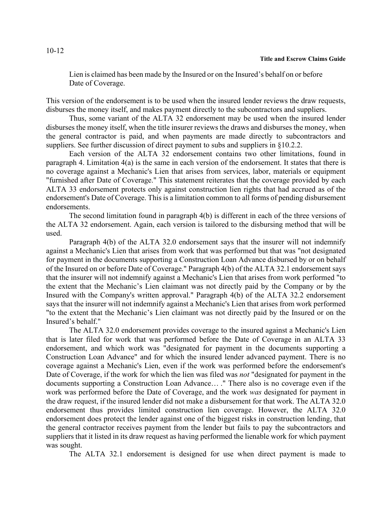Lien is claimed has been made by the Insured or on the Insured's behalf on or before Date of Coverage.

This version of the endorsement is to be used when the insured lender reviews the draw requests, disburses the money itself, and makes payment directly to the subcontractors and suppliers.

Thus, some variant of the ALTA 32 endorsement may be used when the insured lender disburses the money itself, when the title insurer reviews the draws and disburses the money, when the general contractor is paid, and when payments are made directly to subcontractors and suppliers. See further discussion of direct payment to subs and suppliers in §10.2.2.

Each version of the ALTA 32 endorsement contains two other limitations, found in paragraph 4. Limitation 4(a) is the same in each version of the endorsement. It states that there is no coverage against a Mechanic's Lien that arises from services, labor, materials or equipment "furnished after Date of Coverage." This statement reiterates that the coverage provided by each ALTA 33 endorsement protects only against construction lien rights that had accrued as of the endorsement's Date of Coverage. This is a limitation common to all forms of pending disbursement endorsements.

The second limitation found in paragraph 4(b) is different in each of the three versions of the ALTA 32 endorsement. Again, each version is tailored to the disbursing method that will be used.

Paragraph 4(b) of the ALTA 32.0 endorsement says that the insurer will not indemnify against a Mechanic's Lien that arises from work that was performed but that was "not designated for payment in the documents supporting a Construction Loan Advance disbursed by or on behalf of the Insured on or before Date of Coverage." Paragraph 4(b) of the ALTA 32.1 endorsement says that the insurer will not indemnify against a Mechanic's Lien that arises from work performed "to the extent that the Mechanic's Lien claimant was not directly paid by the Company or by the Insured with the Company's written approval." Paragraph 4(b) of the ALTA 32.2 endorsement says that the insurer will not indemnify against a Mechanic's Lien that arises from work performed "to the extent that the Mechanic's Lien claimant was not directly paid by the Insured or on the Insured's behalf."

The ALTA 32.0 endorsement provides coverage to the insured against a Mechanic's Lien that is later filed for work that was performed before the Date of Coverage in an ALTA 33 endorsement, and which work was "designated for payment in the documents supporting a Construction Loan Advance" and for which the insured lender advanced payment. There is no coverage against a Mechanic's Lien, even if the work was performed before the endorsement's Date of Coverage, if the work for which the lien was filed was *not* "designated for payment in the documents supporting a Construction Loan Advance… ." There also is no coverage even if the work was performed before the Date of Coverage, and the work *was* designated for payment in the draw request, if the insured lender did not make a disbursement for that work. The ALTA 32.0 endorsement thus provides limited construction lien coverage. However, the ALTA 32.0 endorsement does protect the lender against one of the biggest risks in construction lending, that the general contractor receives payment from the lender but fails to pay the subcontractors and suppliers that it listed in its draw request as having performed the lienable work for which payment was sought.

The ALTA 32.1 endorsement is designed for use when direct payment is made to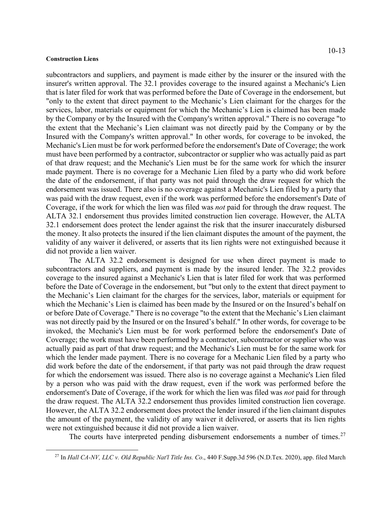subcontractors and suppliers, and payment is made either by the insurer or the insured with the insurer's written approval. The 32.1 provides coverage to the insured against a Mechanic's Lien that is later filed for work that was performed before the Date of Coverage in the endorsement, but "only to the extent that direct payment to the Mechanic's Lien claimant for the charges for the services, labor, materials or equipment for which the Mechanic's Lien is claimed has been made by the Company or by the Insured with the Company's written approval." There is no coverage "to the extent that the Mechanic's Lien claimant was not directly paid by the Company or by the Insured with the Company's written approval." In other words, for coverage to be invoked, the Mechanic's Lien must be for work performed before the endorsement's Date of Coverage; the work must have been performed by a contractor, subcontractor or supplier who was actually paid as part of that draw request; and the Mechanic's Lien must be for the same work for which the insurer made payment. There is no coverage for a Mechanic Lien filed by a party who did work before the date of the endorsement, if that party was not paid through the draw request for which the endorsement was issued. There also is no coverage against a Mechanic's Lien filed by a party that was paid with the draw request, even if the work was performed before the endorsement's Date of Coverage, if the work for which the lien was filed was *not* paid for through the draw request. The ALTA 32.1 endorsement thus provides limited construction lien coverage. However, the ALTA 32.1 endorsement does protect the lender against the risk that the insurer inaccurately disbursed the money. It also protects the insured if the lien claimant disputes the amount of the payment, the validity of any waiver it delivered, or asserts that its lien rights were not extinguished because it did not provide a lien waiver.

The ALTA 32.2 endorsement is designed for use when direct payment is made to subcontractors and suppliers, and payment is made by the insured lender. The 32.2 provides coverage to the insured against a Mechanic's Lien that is later filed for work that was performed before the Date of Coverage in the endorsement, but "but only to the extent that direct payment to the Mechanic's Lien claimant for the charges for the services, labor, materials or equipment for which the Mechanic's Lien is claimed has been made by the Insured or on the Insured's behalf on or before Date of Coverage." There is no coverage "to the extent that the Mechanic's Lien claimant was not directly paid by the Insured or on the Insured's behalf." In other words, for coverage to be invoked, the Mechanic's Lien must be for work performed before the endorsement's Date of Coverage; the work must have been performed by a contractor, subcontractor or supplier who was actually paid as part of that draw request; and the Mechanic's Lien must be for the same work for which the lender made payment. There is no coverage for a Mechanic Lien filed by a party who did work before the date of the endorsement, if that party was not paid through the draw request for which the endorsement was issued. There also is no coverage against a Mechanic's Lien filed by a person who was paid with the draw request, even if the work was performed before the endorsement's Date of Coverage, if the work for which the lien was filed was *not* paid for through the draw request. The ALTA 32.2 endorsement thus provides limited construction lien coverage. However, the ALTA 32.2 endorsement does protect the lender insured if the lien claimant disputes the amount of the payment, the validity of any waiver it delivered, or asserts that its lien rights were not extinguished because it did not provide a lien waiver.

The courts have interpreted pending disbursement endorsements a number of times.<sup>[27](#page-12-0)</sup>

<span id="page-12-0"></span><sup>27</sup> In *Hall CA-NV, LLC v. Old Republic Nat'l Title Ins. Co*., 440 F.Supp.3d 596 (N.D.Tex. 2020), app. filed March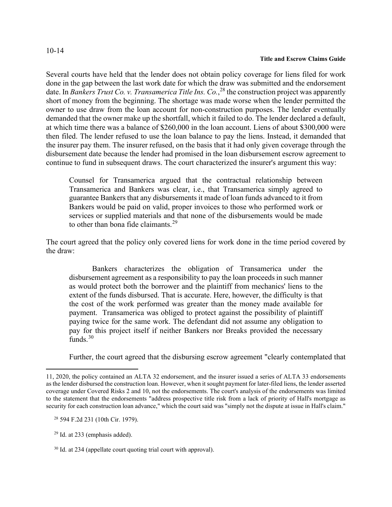Several courts have held that the lender does not obtain policy coverage for liens filed for work done in the gap between the last work date for which the draw was submitted and the endorsement date. In *Bankers Trust Co. v. Transamerica Title Ins. Co.*, [28](#page-13-0) the construction project was apparently short of money from the beginning. The shortage was made worse when the lender permitted the owner to use draw from the loan account for non-construction purposes. The lender eventually demanded that the owner make up the shortfall, which it failed to do. The lender declared a default, at which time there was a balance of \$260,000 in the loan account. Liens of about \$300,000 were then filed. The lender refused to use the loan balance to pay the liens. Instead, it demanded that the insurer pay them. The insurer refused, on the basis that it had only given coverage through the disbursement date because the lender had promised in the loan disbursement escrow agreement to continue to fund in subsequent draws. The court characterized the insurer's argument this way:

Counsel for Transamerica argued that the contractual relationship between Transamerica and Bankers was clear, i.e., that Transamerica simply agreed to guarantee Bankers that any disbursements it made of loan funds advanced to it from Bankers would be paid on valid, proper invoices to those who performed work or services or supplied materials and that none of the disbursements would be made to other than bona fide claimants. $29$ 

The court agreed that the policy only covered liens for work done in the time period covered by the draw:

Bankers characterizes the obligation of Transamerica under the disbursement agreement as a responsibility to pay the loan proceeds in such manner as would protect both the borrower and the plaintiff from mechanics' liens to the extent of the funds disbursed. That is accurate. Here, however, the difficulty is that the cost of the work performed was greater than the money made available for payment. Transamerica was obliged to protect against the possibility of plaintiff paying twice for the same work. The defendant did not assume any obligation to pay for this project itself if neither Bankers nor Breaks provided the necessary funds. $30$ 

Further, the court agreed that the disbursing escrow agreement "clearly contemplated that

<span id="page-13-0"></span>28 594 F.2d 231 (10th Cir. 1979).

<span id="page-13-1"></span> $29$  Id. at 233 (emphasis added).

<sup>11, 2020,</sup> the policy contained an ALTA 32 endorsement, and the insurer issued a series of ALTA 33 endorsements as the lender disbursed the construction loan. However, when it sought payment for later-filed liens, the lender asserted coverage under Covered Risks 2 and 10, not the endorsements. The court's analysis of the endorsements was limited to the statement that the endorsements "address prospective title risk from a lack of priority of Hall's mortgage as security for each construction loan advance," which the court said was "simply not the dispute at issue in Hall's claim."

<span id="page-13-2"></span> <sup>30</sup> Id. at 234 (appellate court quoting trial court with approval).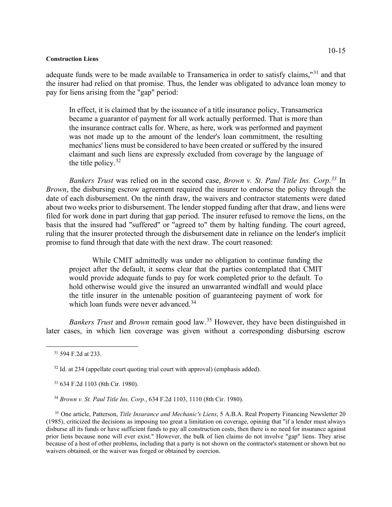adequate funds were to be made available to Transamerica in order to satisfy claims,"[31](#page-14-0) and that the insurer had relied on that promise. Thus, the lender was obligated to advance loan money to pay for liens arising from the "gap" period:

In effect, it is claimed that by the issuance of a title insurance policy, Transamerica became a guarantor of payment for all work actually performed. That is more than the insurance contract calls for. Where, as here, work was performed and payment was not made up to the amount of the lender's loan commitment, the resulting mechanics' liens must be considered to have been created or suffered by the insured claimant and such liens are expressly excluded from coverage by the language of the title policy.  $32$ 

*Bankers Trust* was relied on in the second case, *Brown v. St. Paul Title Ins. Corp.[33](#page-14-2)* In *Brown*, the disbursing escrow agreement required the insurer to endorse the policy through the date of each disbursement. On the ninth draw, the waivers and contractor statements were dated about two weeks prior to disbursement. The lender stopped funding after that draw, and liens were filed for work done in part during that gap period. The insurer refused to remove the liens, on the basis that the insured had "suffered" or "agreed to" them by halting funding. The court agreed, ruling that the insurer protected through the disbursement date in reliance on the lender's implicit promise to fund through that date with the next draw. The court reasoned:

While CMIT admittedly was under no obligation to continue funding the project after the default, it seems clear that the parties contemplated that CMIT would provide adequate funds to pay for work completed prior to the default. To hold otherwise would give the insured an unwarranted windfall and would place the title insurer in the untenable position of guaranteeing payment of work for which loan funds were never advanced.<sup>[34](#page-14-3)</sup>

*Bankers Trust* and *Brown* remain good law.[35](#page-14-4) However, they have been distinguished in later cases, in which lien coverage was given without a corresponding disbursing escrow

34 *Brown v. St. Paul Title Ins. Corp.*, 634 F.2d 1103, 1110 (8th Cir. 1980).

<span id="page-14-4"></span><span id="page-14-3"></span><sup>35</sup> One article, Patterson, *Title Insurance and Mechanic's Liens*, 5 A.B.A. Real Property Financing Newsletter 20 (1985), criticized the decisions as imposing too great a limitation on coverage, opining that "if a lender must always disburse all its funds or have sufficient funds to pay all construction costs, then there is no need for insurance against prior liens because none will ever exist." However, the bulk of lien claims do not involve "gap" liens. They arise because of a host of other problems, including that a party is not shown on the contractor's statement or shown but no waivers obtained, or the waiver was forged or obtained by coercion.

<span id="page-14-0"></span> <sup>31</sup> 594 F.2d at 233.

<span id="page-14-1"></span><sup>&</sup>lt;sup>32</sup> Id. at 234 (appellate court quoting trial court with approval) (emphasis added).

<span id="page-14-2"></span> <sup>33</sup> 634 F.2d 1103 (8th Cir. 1980).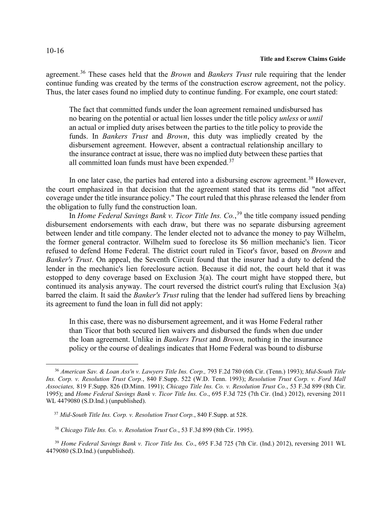agreement.[36](#page-15-0) These cases held that the *Brown* and *Bankers Trust* rule requiring that the lender continue funding was created by the terms of the construction escrow agreement, not the policy. Thus, the later cases found no implied duty to continue funding. For example, one court stated:

The fact that committed funds under the loan agreement remained undisbursed has no bearing on the potential or actual lien losses under the title policy *unless* or *until* an actual or implied duty arises between the parties to the title policy to provide the funds. In *Bankers Trust* and *Brown*, this duty was impliedly created by the disbursement agreement. However, absent a contractual relationship ancillary to the insurance contract at issue, there was no implied duty between these parties that all committed loan funds must have been expended. $37$ 

In one later case, the parties had entered into a disbursing escrow agreement.<sup>[38](#page-15-2)</sup> However, the court emphasized in that decision that the agreement stated that its terms did "not affect coverage under the title insurance policy." The court ruled that this phrase released the lender from the obligation to fully fund the construction loan.

In *Home Federal Savings Bank v. Ticor Title Ins. Co.*, [39](#page-15-3) the title company issued pending disbursement endorsements with each draw, but there was no separate disbursing agreement between lender and title company. The lender elected not to advance the money to pay Wilhelm, the former general contractor. Wilhelm sued to foreclose its \$6 million mechanic's lien. Ticor refused to defend Home Federal. The district court ruled in Ticor's favor, based on *Brown* and *Banker's Trust*. On appeal, the Seventh Circuit found that the insurer had a duty to defend the lender in the mechanic's lien foreclosure action. Because it did not, the court held that it was estopped to deny coverage based on Exclusion 3(a). The court might have stopped there, but continued its analysis anyway. The court reversed the district court's ruling that Exclusion 3(a) barred the claim. It said the *Banker's Trust* ruling that the lender had suffered liens by breaching its agreement to fund the loan in full did not apply:

In this case, there was no disbursement agreement, and it was Home Federal rather than Ticor that both secured lien waivers and disbursed the funds when due under the loan agreement. Unlike in *Bankers Trust* and *Brown,* nothing in the insurance policy or the course of dealings indicates that Home Federal was bound to disburse

<span id="page-15-0"></span><sup>36</sup> *American Sav. & Loan Ass'n v. Lawyers Title Ins. Corp.,* 793 F.2d 780 (6th Cir. (Tenn.) 1993); *Mid-South Title Ins. Corp. v. Resolution Trust Corp.*, 840 F.Supp. 522 (W.D. Tenn. 1993); *Resolution Trust Corp. v. Ford Mall Associates,* 819 F.Supp. 826 (D.Minn. 1991); *Chicago Title Ins. Co. v. Resolution Trust Co.*, 53 F.3d 899 (8th Cir. 1995); and *Home Federal Savings Bank v. Ticor Title Ins. Co*., 695 F.3d 725 (7th Cir. (Ind.) 2012), reversing 2011 WL 4479080 (S.D.Ind.) (unpublished).

<span id="page-15-1"></span> <sup>37</sup> *Mid-South Title Ins. Corp. v. Resolution Trust Corp.*, 840 F.Supp. at 528.

<sup>38</sup> *Chicago Title Ins. Co. v. Resolution Trust Co.*, 53 F.3d 899 (8th Cir. 1995).

<span id="page-15-3"></span><span id="page-15-2"></span><sup>39</sup> *Home Federal Savings Bank v. Ticor Title Ins. Co*., 695 F.3d 725 (7th Cir. (Ind.) 2012), reversing 2011 WL 4479080 (S.D.Ind.) (unpublished).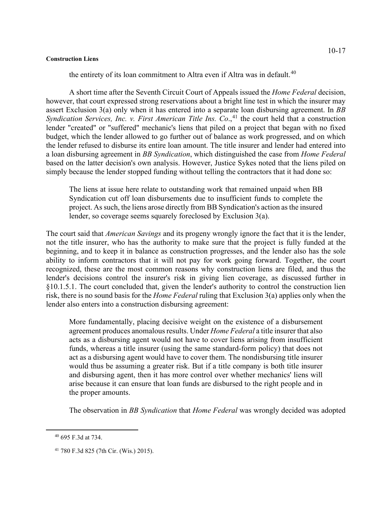the entirety of its loan commitment to Altra even if Altra was in default.<sup>[40](#page-16-0)</sup>

A short time after the Seventh Circuit Court of Appeals issued the *Home Federal* decision, however, that court expressed strong reservations about a bright line test in which the insurer may assert Exclusion 3(a) only when it has entered into a separate loan disbursing agreement. In *BB Syndication Services, Inc. v. First American Title Ins. Co.*<sup>[41](#page-16-1)</sup> the court held that a construction lender "created" or "suffered" mechanic's liens that piled on a project that began with no fixed budget, which the lender allowed to go further out of balance as work progressed, and on which the lender refused to disburse its entire loan amount. The title insurer and lender had entered into a loan disbursing agreement in *BB Syndication*, which distinguished the case from *Home Federal*  based on the latter decision's own analysis. However, Justice Sykes noted that the liens piled on simply because the lender stopped funding without telling the contractors that it had done so:

The liens at issue here relate to outstanding work that remained unpaid when BB Syndication cut off loan disbursements due to insufficient funds to complete the project. As such, the liens arose directly from BB Syndication's action as the insured lender, so coverage seems squarely foreclosed by Exclusion 3(a).

The court said that *American Savings* and its progeny wrongly ignore the fact that it is the lender, not the title insurer, who has the authority to make sure that the project is fully funded at the beginning, and to keep it in balance as construction progresses, and the lender also has the sole ability to inform contractors that it will not pay for work going forward. Together, the court recognized, these are the most common reasons why construction liens are filed, and thus the lender's decisions control the insurer's risk in giving lien coverage, as discussed further in §10.1.5.1. The court concluded that, given the lender's authority to control the construction lien risk, there is no sound basis for the *Home Federal* ruling that Exclusion 3(a) applies only when the lender also enters into a construction disbursing agreement:

More fundamentally, placing decisive weight on the existence of a disbursement agreement produces anomalous results. Under *Home Federal* a title insurer that also acts as a disbursing agent would not have to cover liens arising from insufficient funds, whereas a title insurer (using the same standard-form policy) that does not act as a disbursing agent would have to cover them. The nondisbursing title insurer would thus be assuming a greater risk. But if a title company is both title insurer and disbursing agent, then it has more control over whether mechanics' liens will arise because it can ensure that loan funds are disbursed to the right people and in the proper amounts.

The observation in *BB Syndication* that *Home Federal* was wrongly decided was adopted

<span id="page-16-0"></span><sup>40</sup> 695 F.3d at 734.

<span id="page-16-1"></span><sup>41</sup> 780 F.3d 825 (7th Cir. (Wis.) 2015).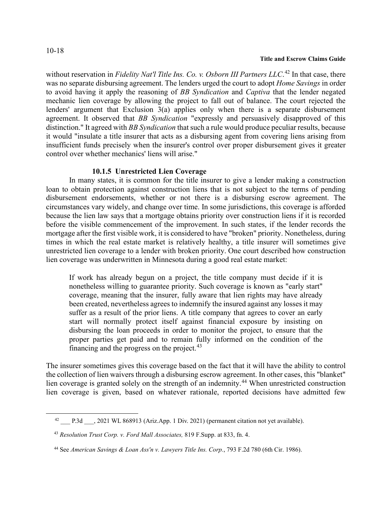without reservation in *Fidelity Nat'l Title Ins. Co. v. Osborn III Partners LLC*.<sup>[42](#page-17-0)</sup> In that case, there was no separate disbursing agreement. The lenders urged the court to adopt *Home Savings* in order to avoid having it apply the reasoning of *BB Syndication* and *Captiva* that the lender negated mechanic lien coverage by allowing the project to fall out of balance. The court rejected the lenders' argument that Exclusion 3(a) applies only when there is a separate disbursement agreement. It observed that *BB Syndication* "expressly and persuasively disapproved of this distinction." It agreed with *BB Syndication* that such a rule would produce peculiar results, because it would "insulate a title insurer that acts as a disbursing agent from covering liens arising from insufficient funds precisely when the insurer's control over proper disbursement gives it greater control over whether mechanics' liens will arise."

# **10.1.5 Unrestricted Lien Coverage**

In many states, it is common for the title insurer to give a lender making a construction loan to obtain protection against construction liens that is not subject to the terms of pending disbursement endorsements, whether or not there is a disbursing escrow agreement. The circumstances vary widely, and change over time. In some jurisdictions, this coverage is afforded because the lien law says that a mortgage obtains priority over construction liens if it is recorded before the visible commencement of the improvement. In such states, if the lender records the mortgage after the first visible work, it is considered to have "broken" priority. Nonetheless, during times in which the real estate market is relatively healthy, a title insurer will sometimes give unrestricted lien coverage to a lender with broken priority. One court described how construction lien coverage was underwritten in Minnesota during a good real estate market:

If work has already begun on a project, the title company must decide if it is nonetheless willing to guarantee priority. Such coverage is known as "early start" coverage, meaning that the insurer, fully aware that lien rights may have already been created, nevertheless agrees to indemnify the insured against any losses it may suffer as a result of the prior liens. A title company that agrees to cover an early start will normally protect itself against financial exposure by insisting on disbursing the loan proceeds in order to monitor the project, to ensure that the proper parties get paid and to remain fully informed on the condition of the financing and the progress on the project. $43$ 

The insurer sometimes gives this coverage based on the fact that it will have the ability to control the collection of lien waivers through a disbursing escrow agreement. In other cases, this "blanket" lien coverage is granted solely on the strength of an indemnity.<sup>[44](#page-17-2)</sup> When unrestricted construction lien coverage is given, based on whatever rationale, reported decisions have admitted few

<span id="page-17-0"></span><sup>42</sup> P.3d , 2021 WL 868913 (Ariz.App. 1 Div. 2021) (permanent citation not yet available).

<span id="page-17-1"></span> <sup>43</sup> *Resolution Trust Corp. v. Ford Mall Associates,* 819 F.Supp. at 833, fn. 4.

<span id="page-17-2"></span> <sup>44</sup> See *American Savings & Loan Ass'n v. Lawyers Title Ins. Corp.*, 793 F.2d 780 (6th Cir. 1986).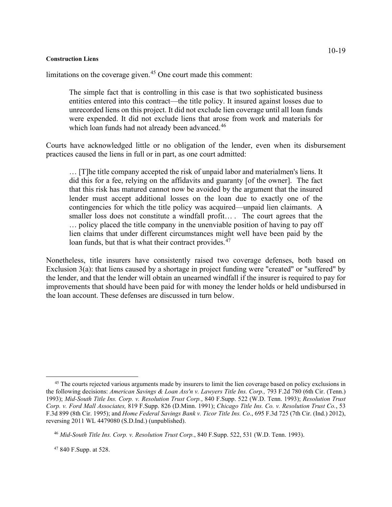limitations on the coverage given. $45$  One court made this comment:

The simple fact that is controlling in this case is that two sophisticated business entities entered into this contract—the title policy. It insured against losses due to unrecorded liens on this project. It did not exclude lien coverage until all loan funds were expended. It did not exclude liens that arose from work and materials for which loan funds had not already been advanced.<sup>[46](#page-18-1)</sup>

Courts have acknowledged little or no obligation of the lender, even when its disbursement practices caused the liens in full or in part, as one court admitted:

… [T]he title company accepted the risk of unpaid labor and materialmen's liens. It did this for a fee, relying on the affidavits and guaranty [of the owner]. The fact that this risk has matured cannot now be avoided by the argument that the insured lender must accept additional losses on the loan due to exactly one of the contingencies for which the title policy was acquired—unpaid lien claimants. A smaller loss does not constitute a windfall profit… . The court agrees that the … policy placed the title company in the unenviable position of having to pay off lien claims that under different circumstances might well have been paid by the loan funds, but that is what their contract provides.<sup>[47](#page-18-2)</sup>

Nonetheless, title insurers have consistently raised two coverage defenses, both based on Exclusion 3(a): that liens caused by a shortage in project funding were "created" or "suffered" by the lender, and that the lender will obtain an unearned windfall if the insurer is required to pay for improvements that should have been paid for with money the lender holds or held undisbursed in the loan account. These defenses are discussed in turn below.

<span id="page-18-0"></span><sup>&</sup>lt;sup>45</sup> The courts rejected various arguments made by insurers to limit the lien coverage based on policy exclusions in the following decisions: *American Savings & Loan Ass'n v. Lawyers Title Ins. Corp.,* 793 F.2d 780 (6th Cir. (Tenn.) 1993); *Mid-South Title Ins. Corp. v. Resolution Trust Corp.*, 840 F.Supp. 522 (W.D. Tenn. 1993); *Resolution Trust Corp. v. Ford Mall Associates,* 819 F.Supp. 826 (D.Minn. 1991); *Chicago Title Ins. Co. v. Resolution Trust Co.*, 53 F.3d 899 (8th Cir. 1995); and *Home Federal Savings Bank v. Ticor Title Ins. Co*., 695 F.3d 725 (7th Cir. (Ind.) 2012), reversing 2011 WL 4479080 (S.D.Ind.) (unpublished).

<span id="page-18-1"></span> <sup>46</sup> *Mid-South Title Ins. Corp. v. Resolution Trust Corp.*, 840 F.Supp. 522, 531 (W.D. Tenn. 1993).

<span id="page-18-2"></span> <sup>47</sup> 840 F.Supp. at 528.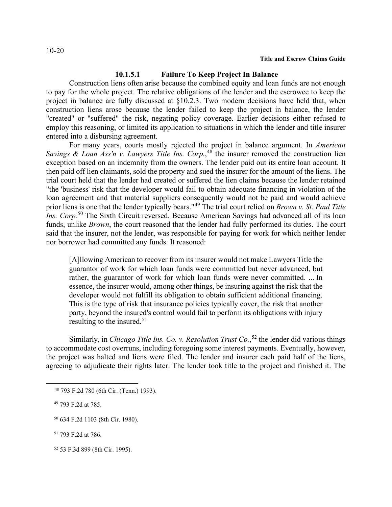# **10.1.5.1 Failure To Keep Project In Balance**

Construction liens often arise because the combined equity and loan funds are not enough to pay for the whole project. The relative obligations of the lender and the escrowee to keep the project in balance are fully discussed at §10.2.3. Two modern decisions have held that, when construction liens arose because the lender failed to keep the project in balance, the lender "created" or "suffered" the risk, negating policy coverage. Earlier decisions either refused to employ this reasoning, or limited its application to situations in which the lender and title insurer entered into a disbursing agreement.

For many years, courts mostly rejected the project in balance argument. In *American Savings & Loan Ass'n v. Lawyers Title Ins. Corp.*, [48](#page-19-0) the insurer removed the construction lien exception based on an indemnity from the owners. The lender paid out its entire loan account. It then paid off lien claimants, sold the property and sued the insurer for the amount of the liens. The trial court held that the lender had created or suffered the lien claims because the lender retained "the 'business' risk that the developer would fail to obtain adequate financing in violation of the loan agreement and that material suppliers consequently would not be paid and would achieve prior liens is one that the lender typically bears."[49](#page-19-1) The trial court relied on *Brown v. St. Paul Title Ins. Corp.*[50](#page-19-2) The Sixth Circuit reversed. Because American Savings had advanced all of its loan funds, unlike *Brown*, the court reasoned that the lender had fully performed its duties. The court said that the insurer, not the lender, was responsible for paying for work for which neither lender nor borrower had committed any funds. It reasoned:

[A]llowing American to recover from its insurer would not make Lawyers Title the guarantor of work for which loan funds were committed but never advanced, but rather, the guarantor of work for which loan funds were never committed. ... In essence, the insurer would, among other things, be insuring against the risk that the developer would not fulfill its obligation to obtain sufficient additional financing. This is the type of risk that insurance policies typically cover, the risk that another party, beyond the insured's control would fail to perform its obligations with injury resulting to the insured.<sup>[51](#page-19-3)</sup>

Similarly, in *Chicago Title Ins. Co. v. Resolution Trust Co.*, [52](#page-19-4) the lender did various things to accommodate cost overruns, including foregoing some interest payments. Eventually, however, the project was halted and liens were filed. The lender and insurer each paid half of the liens, agreeing to adjudicate their rights later. The lender took title to the project and finished it. The

<span id="page-19-0"></span><sup>48</sup> 793 F.2d 780 (6th Cir. (Tenn.) 1993).

<span id="page-19-1"></span> <sup>49</sup> 793 F.2d at 785.

<span id="page-19-2"></span> <sup>50</sup> 634 F.2d 1103 (8th Cir. 1980).

<span id="page-19-3"></span> <sup>51</sup> 793 F.2d at 786.

<span id="page-19-4"></span> <sup>52</sup> 53 F.3d 899 (8th Cir. 1995).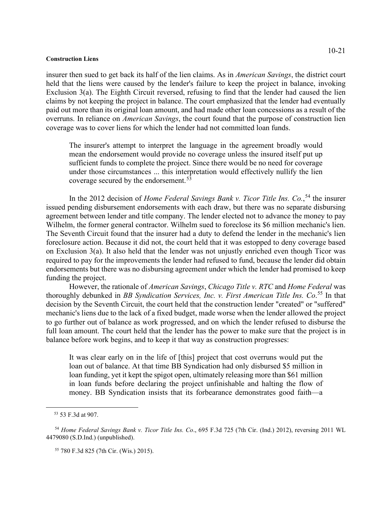insurer then sued to get back its half of the lien claims. As in *American Savings*, the district court held that the liens were caused by the lender's failure to keep the project in balance, invoking Exclusion 3(a). The Eighth Circuit reversed, refusing to find that the lender had caused the lien claims by not keeping the project in balance. The court emphasized that the lender had eventually paid out more than its original loan amount, and had made other loan concessions as a result of the overruns. In reliance on *American Savings*, the court found that the purpose of construction lien coverage was to cover liens for which the lender had not committed loan funds.

The insurer's attempt to interpret the language in the agreement broadly would mean the endorsement would provide no coverage unless the insured itself put up sufficient funds to complete the project. Since there would be no need for coverage under those circumstances ... this interpretation would effectively nullify the lien coverage secured by the endorsement.<sup>[53](#page-20-0)</sup>

In the 2012 decision of *Home Federal Savings Bank v. Ticor Title Ins. Co.*<sup>[54](#page-20-1)</sup> the insurer issued pending disbursement endorsements with each draw, but there was no separate disbursing agreement between lender and title company. The lender elected not to advance the money to pay Wilhelm, the former general contractor. Wilhelm sued to foreclose its \$6 million mechanic's lien. The Seventh Circuit found that the insurer had a duty to defend the lender in the mechanic's lien foreclosure action. Because it did not, the court held that it was estopped to deny coverage based on Exclusion 3(a). It also held that the lender was not unjustly enriched even though Ticor was required to pay for the improvements the lender had refused to fund, because the lender did obtain endorsements but there was no disbursing agreement under which the lender had promised to keep funding the project.

However, the rationale of *American Savings*, *Chicago Title v. RTC* and *Home Federal* was thoroughly debunked in *BB Syndication Services, Inc. v. First American Title Ins. Co*. [55](#page-20-2) In that decision by the Seventh Circuit, the court held that the construction lender "created" or "suffered" mechanic's liens due to the lack of a fixed budget, made worse when the lender allowed the project to go further out of balance as work progressed, and on which the lender refused to disburse the full loan amount. The court held that the lender has the power to make sure that the project is in balance before work begins, and to keep it that way as construction progresses:

It was clear early on in the life of [this] project that cost overruns would put the loan out of balance. At that time BB Syndication had only disbursed \$5 million in loan funding, yet it kept the spigot open, ultimately releasing more than \$61 million in loan funds before declaring the project unfinishable and halting the flow of money. BB Syndication insists that its forbearance demonstrates good faith—a

 <sup>53</sup> 53 F.3d at 907.

<span id="page-20-2"></span><span id="page-20-1"></span><span id="page-20-0"></span><sup>54</sup> *Home Federal Savings Bank v. Ticor Title Ins. Co*., 695 F.3d 725 (7th Cir. (Ind.) 2012), reversing 2011 WL 4479080 (S.D.Ind.) (unpublished).

<sup>55</sup> 780 F.3d 825 (7th Cir. (Wis.) 2015).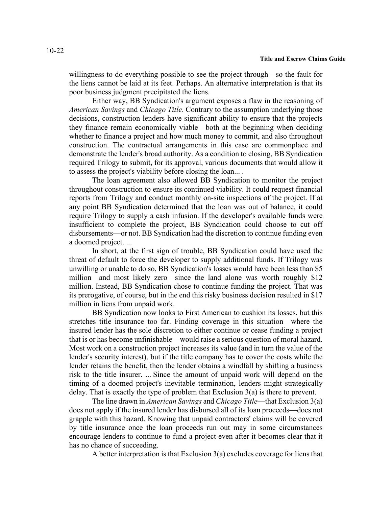willingness to do everything possible to see the project through—so the fault for the liens cannot be laid at its feet. Perhaps. An alternative interpretation is that its poor business judgment precipitated the liens.

Either way, BB Syndication's argument exposes a flaw in the reasoning of *American Savings* and *Chicago Title*. Contrary to the assumption underlying those decisions, construction lenders have significant ability to ensure that the projects they finance remain economically viable—both at the beginning when deciding whether to finance a project and how much money to commit, and also throughout construction. The contractual arrangements in this case are commonplace and demonstrate the lender's broad authority. As a condition to closing, BB Syndication required Trilogy to submit, for its approval, various documents that would allow it to assess the project's viability before closing the loan... .

The loan agreement also allowed BB Syndication to monitor the project throughout construction to ensure its continued viability. It could request financial reports from Trilogy and conduct monthly on-site inspections of the project. If at any point BB Syndication determined that the loan was out of balance, it could require Trilogy to supply a cash infusion. If the developer's available funds were insufficient to complete the project, BB Syndication could choose to cut off disbursements—or not. BB Syndication had the discretion to continue funding even a doomed project. ...

In short, at the first sign of trouble, BB Syndication could have used the threat of default to force the developer to supply additional funds. If Trilogy was unwilling or unable to do so, BB Syndication's losses would have been less than \$5 million—and most likely zero—since the land alone was worth roughly \$12 million. Instead, BB Syndication chose to continue funding the project. That was its prerogative, of course, but in the end this risky business decision resulted in \$17 million in liens from unpaid work.

BB Syndication now looks to First American to cushion its losses, but this stretches title insurance too far. Finding coverage in this situation—where the insured lender has the sole discretion to either continue or cease funding a project that is or has become unfinishable—would raise a serious question of moral hazard. Most work on a construction project increases its value (and in turn the value of the lender's security interest), but if the title company has to cover the costs while the lender retains the benefit, then the lender obtains a windfall by shifting a business risk to the title insurer. ... Since the amount of unpaid work will depend on the timing of a doomed project's inevitable termination, lenders might strategically delay. That is exactly the type of problem that Exclusion 3(a) is there to prevent.

The line drawn in *American Savings* and *Chicago Title*—that Exclusion 3(a) does not apply if the insured lender has disbursed all of its loan proceeds—does not grapple with this hazard. Knowing that unpaid contractors' claims will be covered by title insurance once the loan proceeds run out may in some circumstances encourage lenders to continue to fund a project even after it becomes clear that it has no chance of succeeding.

A better interpretation is that Exclusion 3(a) excludes coverage for liens that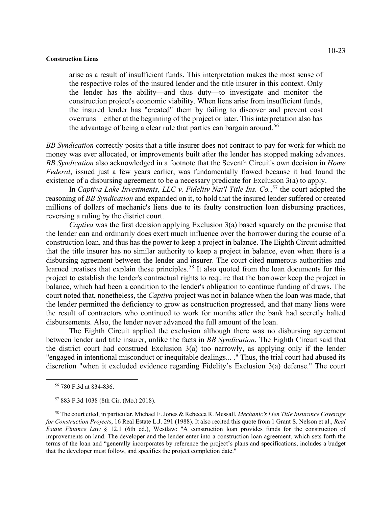arise as a result of insufficient funds. This interpretation makes the most sense of the respective roles of the insured lender and the title insurer in this context. Only the lender has the ability—and thus duty—to investigate and monitor the construction project's economic viability. When liens arise from insufficient funds, the insured lender has "created" them by failing to discover and prevent cost overruns—either at the beginning of the project or later. This interpretation also has the advantage of being a clear rule that parties can bargain around.<sup>[56](#page-22-0)</sup>

*BB Syndication* correctly posits that a title insurer does not contract to pay for work for which no money was ever allocated, or improvements built after the lender has stopped making advances. *BB Syndication* also acknowledged in a footnote that the Seventh Circuit's own decision in *Home Federal*, issued just a few years earlier, was fundamentally flawed because it had found the existence of a disbursing agreement to be a necessary predicate for Exclusion 3(a) to apply.

In *Captiva Lake Investments, LLC v. Fidelity Nat'l Title Ins. Co.*, [57](#page-22-1) the court adopted the reasoning of *BB Syndication* and expanded on it, to hold that the insured lender suffered or created millions of dollars of mechanic's liens due to its faulty construction loan disbursing practices, reversing a ruling by the district court.

*Captiva* was the first decision applying Exclusion 3(a) based squarely on the premise that the lender can and ordinarily does exert much influence over the borrower during the course of a construction loan, and thus has the power to keep a project in balance. The Eighth Circuit admitted that the title insurer has no similar authority to keep a project in balance, even when there is a disbursing agreement between the lender and insurer. The court cited numerous authorities and learned treatises that explain these principles.<sup>[58](#page-22-2)</sup> It also quoted from the loan documents for this project to establish the lender's contractual rights to require that the borrower keep the project in balance, which had been a condition to the lender's obligation to continue funding of draws. The court noted that, nonetheless, the *Captiva* project was not in balance when the loan was made, that the lender permitted the deficiency to grow as construction progressed, and that many liens were the result of contractors who continued to work for months after the bank had secretly halted disbursements. Also, the lender never advanced the full amount of the loan.

The Eighth Circuit applied the exclusion although there was no disbursing agreement between lender and title insurer, unlike the facts in *BB Syndication*. The Eighth Circuit said that the district court had construed Exclusion 3(a) too narrowly, as applying only if the lender "engaged in intentional misconduct or inequitable dealings... ." Thus, the trial court had abused its discretion "when it excluded evidence regarding Fidelity's Exclusion 3(a) defense." The court

<sup>56</sup> 780 F.3d at 834-836.

<sup>57</sup> 883 F.3d 1038 (8th Cir. (Mo.) 2018).

<span id="page-22-2"></span><span id="page-22-1"></span><span id="page-22-0"></span><sup>58</sup> The court cited, in particular, Michael F. Jones & Rebecca R. Messall, *Mechanic's Lien Title Insurance Coverage for Construction Projects*, 16 Real Estate L.J. 291 (1988). It also recited this quote from 1 Grant S. Nelson et al., *Real Estate Finance Law* § 12.1 (6th ed.), Westlaw: "A construction loan provides funds for the construction of improvements on land. The developer and the lender enter into a construction loan agreement, which sets forth the terms of the loan and "generally incorporates by reference the project's plans and specifications, includes a budget that the developer must follow, and specifies the project completion date."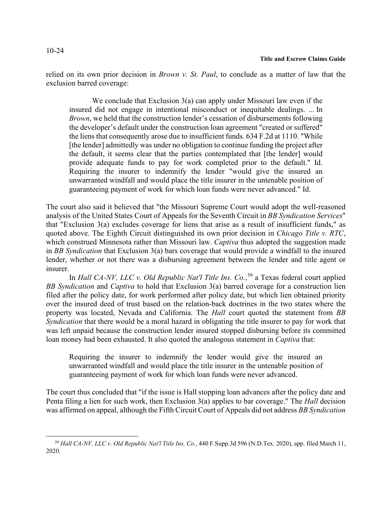relied on its own prior decision in *Brown v. St. Paul*, to conclude as a matter of law that the exclusion barred coverage:

We conclude that Exclusion 3(a) can apply under Missouri law even if the insured did not engage in intentional misconduct or inequitable dealings. ... In *Brown*, we held that the construction lender's cessation of disbursements following the developer's default under the construction loan agreement "created or suffered" the liens that consequently arose due to insufficient funds. 634 F.2d at 1110. "While [the lender] admittedly was under no obligation to continue funding the project after the default, it seems clear that the parties contemplated that [the lender] would provide adequate funds to pay for work completed prior to the default." Id. Requiring the insurer to indemnify the lender "would give the insured an unwarranted windfall and would place the title insurer in the untenable position of guaranteeing payment of work for which loan funds were never advanced." Id.

The court also said it believed that "the Missouri Supreme Court would adopt the well-reasoned analysis of the United States Court of Appeals for the Seventh Circuit in *BB Syndication Services*" that "Exclusion 3(a) excludes coverage for liens that arise as a result of insufficient funds," as quoted above. The Eighth Circuit distinguished its own prior decision in *Chicago Title v. RTC*, which construed Minnesota rather than Missouri law. *Captiva* thus adopted the suggestion made in *BB Syndication* that Exclusion 3(a) bars coverage that would provide a windfall to the insured lender, whether or not there was a disbursing agreement between the lender and title agent or insurer.

In *Hall CA-NV, LLC v. Old Republic Nat'l Title Ins. Co.*, [59](#page-23-0) a Texas federal court applied *BB Syndication* and *Captiva* to hold that Exclusion 3(a) barred coverage for a construction lien filed after the policy date, for work performed after policy date, but which lien obtained priority over the insured deed of trust based on the relation-back doctrines in the two states where the property was located, Nevada and California. The *Hall* court quoted the statement from *BB Syndication* that there would be a moral hazard in obligating the title insurer to pay for work that was left unpaid because the construction lender insured stopped disbursing before its committed loan money had been exhausted. It also quoted the analogous statement in *Captiva* that:

Requiring the insurer to indemnify the lender would give the insured an unwarranted windfall and would place the title insurer in the untenable position of guaranteeing payment of work for which loan funds were never advanced.

The court thus concluded that "if the issue is Hall stopping loan advances after the policy date and Penta filing a lien for such work, then Exclusion 3(a) applies to bar coverage." The *Hall* decision was affirmed on appeal, although the Fifth Circuit Court of Appeals did not address *BB Syndication* 

<span id="page-23-0"></span><sup>59</sup> *Hall CA-NV, LLC v. Old Republic Nat'l Title Ins. Co.*, 440 F.Supp.3d 596 (N.D.Tex. 2020), app. filed March 11, 2020.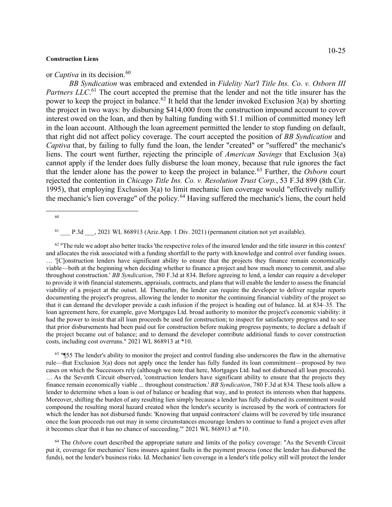## or *Captiva* in its decision.<sup>[60](#page-24-0)</sup>

*BB Syndication* was embraced and extended in *Fidelity Nat'l Title Ins. Co. v. Osborn III*  Partners LLC.<sup>[61](#page-24-1)</sup> The court accepted the premise that the lender and not the title insurer has the power to keep the project in balance.<sup>[62](#page-24-2)</sup> It held that the lender invoked Exclusion 3(a) by shorting the project in two ways: by disbursing \$414,000 from the construction impound account to cover interest owed on the loan, and then by halting funding with \$1.1 million of committed money left in the loan account. Although the loan agreement permitted the lender to stop funding on default, that right did not affect policy coverage. The court accepted the position of *BB Syndication* and *Captiva* that, by failing to fully fund the loan, the lender "created" or "suffered" the mechanic's liens. The court went further, rejecting the principle of *American Savings* that Exclusion 3(a) cannot apply if the lender does fully disburse the loan money, because that rule ignores the fact that the lender alone has the power to keep the project in balance. [63](#page-24-3) Further, the *Osborn* court rejected the contention in *Chicago Title Ins. Co. v. Resolution Trust Corp.*, 53 F.3d 899 (8th Cir. 1995), that employing Exclusion 3(a) to limit mechanic lien coverage would "effectively nullify the mechanic's lien coverage" of the policy. [64](#page-24-4) Having suffered the mechanic's liens, the court held

 $61$  P.3d , 2021 WL 868913 (Ariz.App. 1 Div. 2021) (permanent citation not yet available).

<span id="page-24-2"></span><span id="page-24-1"></span> $62$  "The rule we adopt also better tracks 'the respective roles of the insured lender and the title insurer in this context' and allocates the risk associated with a funding shortfall to the party with knowledge and control over funding issues. … '[C]onstruction lenders have significant ability to ensure that the projects they finance remain economically viable—both at the beginning when deciding whether to finance a project and how much money to commit, and also throughout construction.' *BB Syndication*, 780 F.3d at 834. Before agreeing to lend, a lender can require a developer to provide it with financial statements, appraisals, contracts, and plans that will enable the lender to assess the financial viability of a project at the outset. Id. Thereafter, the lender can require the developer to deliver regular reports documenting the project's progress, allowing the lender to monitor the continuing financial viability of the project so that it can demand the developer provide a cash infusion if the project is heading out of balance. Id. at 834–35. The loan agreement here, for example, gave Mortgages Ltd. broad authority to monitor the project's economic viability: it had the power to insist that all loan proceeds be used for construction; to inspect for satisfactory progress and to see that prior disbursements had been paid out for construction before making progress payments; to declare a default if the project became out of balance; and to demand the developer contribute additional funds to cover construction costs, including cost overruns." 2021 WL 868913 at \*10.

<span id="page-24-3"></span> $63$  "[55 The lender's ability to monitor the project and control funding also underscores the flaw in the alternative rule—that Exclusion 3(a) does not apply once the lender has fully funded its loan commitment—proposed by two cases on which the Successors rely (although we note that here, Mortgages Ltd. had not disbursed all loan proceeds). … As the Seventh Circuit observed, 'construction lenders have significant ability to ensure that the projects they finance remain economically viable ... throughout construction.' *BB Syndication*, 780 F.3d at 834. These tools allow a lender to determine when a loan is out of balance or heading that way, and to protect its interests when that happens. Moreover, shifting the burden of any resulting lien simply because a lender has fully disbursed its commitment would compound the resulting moral hazard created when the lender's security is increased by the work of contractors for which the lender has not disbursed funds: 'Knowing that unpaid contractors' claims will be covered by title insurance once the loan proceeds run out may in some circumstances encourage lenders to continue to fund a project even after it becomes clear that it has no chance of succeeding.'" 2021 WL 868913 at \*10.

<span id="page-24-4"></span><sup>64</sup> The *Osborn* court described the appropriate nature and limits of the policy coverage: "As the Seventh Circuit put it, coverage for mechanics' liens insures against faults in the payment process (once the lender has disbursed the funds), not the lender's business risks. Id. Mechanics' lien coverage in a lender's title policy still will protect the lender

<span id="page-24-0"></span><sup>60</sup>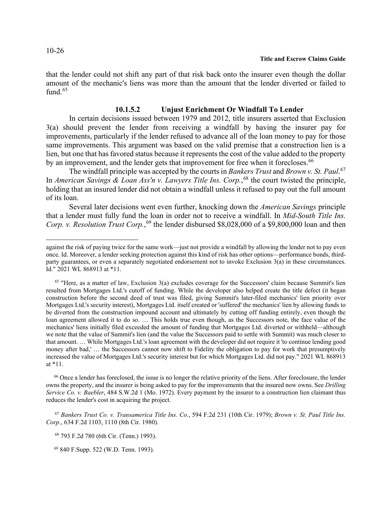that the lender could not shift any part of that risk back onto the insurer even though the dollar amount of the mechanic's liens was more than the amount that the lender diverted or failed to fund. $65$ 

## **10.1.5.2 Unjust Enrichment Or Windfall To Lender**

In certain decisions issued between 1979 and 2012, title insurers asserted that Exclusion 3(a) should prevent the lender from receiving a windfall by having the insurer pay for improvements, particularly if the lender refused to advance all of the loan money to pay for those same improvements. This argument was based on the valid premise that a construction lien is a lien, but one that has favored status because it represents the cost of the value added to the property by an improvement, and the lender gets that improvement for free when it forecloses.<sup>[66](#page-25-1)</sup>

The windfall principle was accepted by the courts in *Bankers Trust* and *Brown v. St. Paul*. [67](#page-25-2) In *American Savings & Loan Ass'n v. Lawyers Title Ins. Corp.*, [68](#page-25-3) the court twisted the principle, holding that an insured lender did not obtain a windfall unless it refused to pay out the full amount of its loan.

Several later decisions went even further, knocking down the *American Savings* principle that a lender must fully fund the loan in order not to receive a windfall. In *Mid-South Title Ins.*  Corp. v. Resolution Trust Corp.,<sup>[69](#page-25-4)</sup> the lender disbursed \$8,028,000 of a \$9,800,000 loan and then

<span id="page-25-1"></span><sup>66</sup> Once a lender has foreclosed, the issue is no longer the relative priority of the liens. After foreclosure, the lender owns the property, and the insurer is being asked to pay for the improvements that the insured now owns. See *Drilling Service Co. v. Baebler*, 484 S.W.2d 1 (Mo. 1972). Every payment by the insurer to a construction lien claimant thus reduces the lender's cost in acquiring the project.

<span id="page-25-3"></span><span id="page-25-2"></span><sup>67</sup> *Bankers Trust Co. v. Transamerica Title Ins. Co.*, 594 F.2d 231 (10th Cir. 1979); *Brown v. St. Paul Title Ins. Corp.*, 634 F.2d 1103, 1110 (8th Cir. 1980).

<sup>68</sup> 793 F.2d 780 (6th Cir. (Tenn.) 1993).

<span id="page-25-4"></span>69 840 F.Supp. 522 (W.D. Tenn. 1993).

against the risk of paying twice for the same work—just not provide a windfall by allowing the lender not to pay even once. Id. Moreover, a lender seeking protection against this kind of risk has other options—performance bonds, thirdparty guarantees, or even a separately negotiated endorsement not to invoke Exclusion 3(a) in these circumstances. Id." 2021 WL 868913 at \*11.

<span id="page-25-0"></span><sup>&</sup>lt;sup>65</sup> "Here, as a matter of law, Exclusion 3(a) excludes coverage for the Successors' claim because Summit's lien resulted from Mortgages Ltd.'s cutoff of funding. While the developer also helped create the title defect (it began construction before the second deed of trust was filed, giving Summit's later-filed mechanics' lien priority over Mortgages Ltd.'s security interest), Mortgages Ltd. itself created or 'suffered' the mechanics' lien by allowing funds to be diverted from the construction impound account and ultimately by cutting off funding entirely, even though the loan agreement allowed it to do so. … This holds true even though, as the Successors note, the face value of the mechanics' liens initially filed exceeded the amount of funding that Mortgages Ltd. diverted or withheld—although we note that the value of Summit's lien (and the value the Successors paid to settle with Summit) was much closer to that amount. … While Mortgages Ltd.'s loan agreement with the developer did not require it 'to continue lending good money after bad,' … the Successors cannot now shift to Fidelity the obligation to pay for work that presumptively increased the value of Mortgages Ltd.'s security interest but for which Mortgages Ltd. did not pay." 2021 WL 868913 at \*11.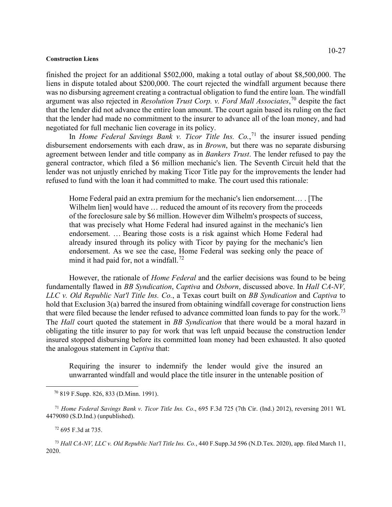finished the project for an additional \$502,000, making a total outlay of about \$8,500,000. The liens in dispute totaled about \$200,000. The court rejected the windfall argument because there was no disbursing agreement creating a contractual obligation to fund the entire loan. The windfall argument was also rejected in *Resolution Trust Corp. v. Ford Mall Associates*, [70](#page-26-0) despite the fact that the lender did not advance the entire loan amount. The court again based its ruling on the fact that the lender had made no commitment to the insurer to advance all of the loan money, and had negotiated for full mechanic lien coverage in its policy.

In *Home Federal Savings Bank v. Ticor Title Ins. Co.*, [71](#page-26-1) the insurer issued pending disbursement endorsements with each draw, as in *Brown*, but there was no separate disbursing agreement between lender and title company as in *Bankers Trust*. The lender refused to pay the general contractor, which filed a \$6 million mechanic's lien. The Seventh Circuit held that the lender was not unjustly enriched by making Ticor Title pay for the improvements the lender had refused to fund with the loan it had committed to make. The court used this rationale:

Home Federal paid an extra premium for the mechanic's lien endorsement… . [The Wilhelm lien] would have ... reduced the amount of its recovery from the proceeds of the foreclosure sale by \$6 million. However dim Wilhelm's prospects of success, that was precisely what Home Federal had insured against in the mechanic's lien endorsement. … Bearing those costs is a risk against which Home Federal had already insured through its policy with Ticor by paying for the mechanic's lien endorsement. As we see the case, Home Federal was seeking only the peace of mind it had paid for, not a windfall.<sup>[72](#page-26-2)</sup>

However, the rationale of *Home Federal* and the earlier decisions was found to be being fundamentally flawed in *BB Syndication*, *Captiva* and *Osborn*, discussed above. In *Hall CA-NV, LLC v. Old Republic Nat'l Title Ins. Co.*, a Texas court built on *BB Syndication* and *Captiva* to hold that Exclusion 3(a) barred the insured from obtaining windfall coverage for construction liens that were filed because the lender refused to advance committed loan funds to pay for the work.<sup>[73](#page-26-3)</sup> The *Hall* court quoted the statement in *BB Syndication* that there would be a moral hazard in obligating the title insurer to pay for work that was left unpaid because the construction lender insured stopped disbursing before its committed loan money had been exhausted. It also quoted the analogous statement in *Captiva* that:

Requiring the insurer to indemnify the lender would give the insured an unwarranted windfall and would place the title insurer in the untenable position of

<span id="page-26-3"></span><span id="page-26-2"></span><sup>73</sup> *Hall CA-NV, LLC v. Old Republic Nat'l Title Ins. Co.*, 440 F.Supp.3d 596 (N.D.Tex. 2020), app. filed March 11, 2020.

 <sup>70</sup> 819 F.Supp. 826, 833 (D.Minn. 1991).

<span id="page-26-1"></span><span id="page-26-0"></span><sup>71</sup> *Home Federal Savings Bank v. Ticor Title Ins. Co*., 695 F.3d 725 (7th Cir. (Ind.) 2012), reversing 2011 WL 4479080 (S.D.Ind.) (unpublished).

<sup>72</sup> 695 F.3d at 735.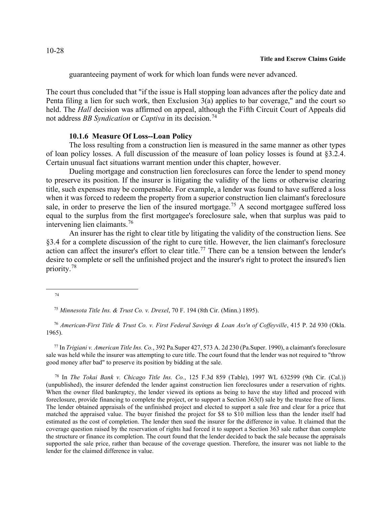guaranteeing payment of work for which loan funds were never advanced.

The court thus concluded that "if the issue is Hall stopping loan advances after the policy date and Penta filing a lien for such work, then Exclusion 3(a) applies to bar coverage," and the court so held. The *Hall* decision was affirmed on appeal, although the Fifth Circuit Court of Appeals did not address *BB Syndication* or *Captiva* in its decision.[74](#page-27-0)

## **10.1.6 Measure Of Loss--Loan Policy**

The loss resulting from a construction lien is measured in the same manner as other types of loan policy losses. A full discussion of the measure of loan policy losses is found at §3.2.4. Certain unusual fact situations warrant mention under this chapter, however.

Dueling mortgage and construction lien foreclosures can force the lender to spend money to preserve its position. If the insurer is litigating the validity of the liens or otherwise clearing title, such expenses may be compensable. For example, a lender was found to have suffered a loss when it was forced to redeem the property from a superior construction lien claimant's foreclosure sale, in order to preserve the lien of the insured mortgage.<sup>[75](#page-27-1)</sup> A second mortgagee suffered loss equal to the surplus from the first mortgagee's foreclosure sale, when that surplus was paid to intervening lien claimants.[76](#page-27-2)

An insurer has the right to clear title by litigating the validity of the construction liens. See §3.4 for a complete discussion of the right to cure title. However, the lien claimant's foreclosure action can affect the insurer's effort to clear title.<sup>[77](#page-27-3)</sup> There can be a tension between the lender's desire to complete or sell the unfinished project and the insurer's right to protect the insured's lien priority.[78](#page-27-4)

<span id="page-27-2"></span><span id="page-27-1"></span> 76 *American-First Title & Trust Co. v. First Federal Savings & Loan Ass'n of Coffeyville*, 415 P. 2d 930 (Okla. 1965).

<span id="page-27-3"></span> 77 In *Trigiani v. American Title Ins. Co.*, 392 Pa.Super 427, 573 A. 2d 230 (Pa.Super. 1990), a claimant's foreclosure sale was held while the insurer was attempting to cure title. The court found that the lender was not required to "throw good money after bad" to preserve its position by bidding at the sale.

<span id="page-27-4"></span><sup>78</sup> In *The Tokai Bank v. Chicago Title Ins. Co.*, 125 F.3d 859 (Table), 1997 WL 632599 (9th Cir. (Cal.)) (unpublished), the insurer defended the lender against construction lien foreclosures under a reservation of rights. When the owner filed bankruptcy, the lender viewed its options as being to have the stay lifted and proceed with foreclosure, provide financing to complete the project, or to support a Section 363(f) sale by the trustee free of liens. The lender obtained appraisals of the unfinished project and elected to support a sale free and clear for a price that matched the appraised value. The buyer finished the project for \$8 to \$10 million less than the lender itself had estimated as the cost of completion. The lender then sued the insurer for the difference in value. It claimed that the coverage question raised by the reservation of rights had forced it to support a Section 363 sale rather than complete the structure or finance its completion. The court found that the lender decided to back the sale because the appraisals supported the sale price, rather than because of the coverage question. Therefore, the insurer was not liable to the lender for the claimed difference in value.

<span id="page-27-0"></span><sup>74</sup>

 <sup>75</sup> *Minnesota Title Ins. & Trust Co. v. Drexel*, 70 F. 194 (8th Cir. (Minn.) 1895).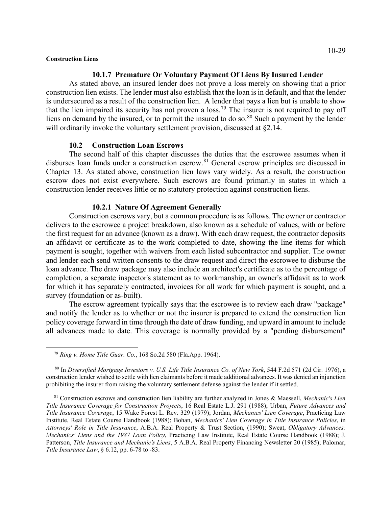## **10.1.7 Premature Or Voluntary Payment Of Liens By Insured Lender**

As stated above, an insured lender does not prove a loss merely on showing that a prior construction lien exists. The lender must also establish that the loan is in default, and that the lender is undersecured as a result of the construction lien. A lender that pays a lien but is unable to show that the lien impaired its security has not proven a loss.[79](#page-28-0) The insurer is not required to pay off liens on demand by the insured, or to permit the insured to do so. $80$  Such a payment by the lender will ordinarily invoke the voluntary settlement provision, discussed at §2.14.

## **10.2 Construction Loan Escrows**

The second half of this chapter discusses the duties that the escrowee assumes when it disburses loan funds under a construction escrow.<sup>[81](#page-28-2)</sup> General escrow principles are discussed in Chapter 13. As stated above, construction lien laws vary widely. As a result, the construction escrow does not exist everywhere. Such escrows are found primarily in states in which a construction lender receives little or no statutory protection against construction liens.

## **10.2.1 Nature Of Agreement Generally**

Construction escrows vary, but a common procedure is as follows. The owner or contractor delivers to the escrowee a project breakdown, also known as a schedule of values, with or before the first request for an advance (known as a draw). With each draw request, the contractor deposits an affidavit or certificate as to the work completed to date, showing the line items for which payment is sought, together with waivers from each listed subcontractor and supplier. The owner and lender each send written consents to the draw request and direct the escrowee to disburse the loan advance. The draw package may also include an architect's certificate as to the percentage of completion, a separate inspector's statement as to workmanship, an owner's affidavit as to work for which it has separately contracted, invoices for all work for which payment is sought, and a survey (foundation or as-built).

The escrow agreement typically says that the escrowee is to review each draw "package" and notify the lender as to whether or not the insurer is prepared to extend the construction lien policy coverage forward in time through the date of draw funding, and upward in amount to include all advances made to date. This coverage is normally provided by a "pending disbursement"

 <sup>79</sup> *Ring v. Home Title Guar. Co.*, 168 So.2d 580 (Fla.App. 1964).

<span id="page-28-1"></span><span id="page-28-0"></span><sup>80</sup> In *Diversified Mortgage Investors v. U.S. Life Title Insurance Co. of New York*, 544 F.2d 571 (2d Cir. 1976), a construction lender wished to settle with lien claimants before it made additional advances. It was denied an injunction prohibiting the insurer from raising the voluntary settlement defense against the lender if it settled.

<span id="page-28-2"></span> <sup>81</sup> Construction escrows and construction lien liability are further analyzed in Jones & Maessell, *Mechanic's Lien Title Insurance Coverage for Construction Projects*, 16 Real Estate L.J. 291 (1988); Urban, *Future Advances and Title Insurance Coverage*, 15 Wake Forest L. Rev. 329 (1979); Jordan, *Mechanics' Lien Coverage*, Practicing Law Institute, Real Estate Course Handbook (1988); Bohan, *Mechanics' Lien Coverage in Title Insurance Policies*, in *Attorneys' Role in Title Insurance*, A.B.A. Real Property & Trust Section, (1990); Sweat, *Obligatory Advances: Mechanics' Liens and the 1987 Loan Policy*, Practicing Law Institute, Real Estate Course Handbook (1988); J. Patterson, *Title Insurance and Mechanic's Liens*, 5 A.B.A. Real Property Financing Newsletter 20 (1985); Palomar, *Title Insurance Law*, § 6.12, pp. 6-78 to -83.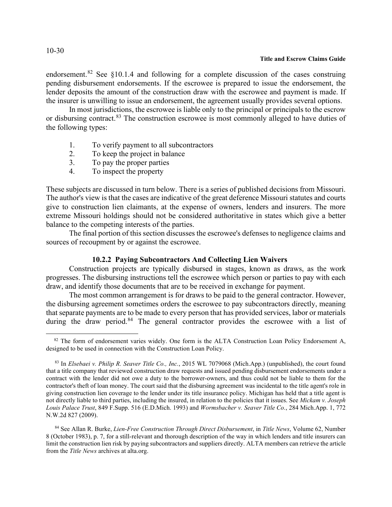endorsement.<sup>[82](#page-29-0)</sup> See  $§10.1.4$  and following for a complete discussion of the cases construing pending disbursement endorsements. If the escrowee is prepared to issue the endorsement, the lender deposits the amount of the construction draw with the escrowee and payment is made. If the insurer is unwilling to issue an endorsement, the agreement usually provides several options.

In most jurisdictions, the escrowee is liable only to the principal or principals to the escrow or disbursing contract.<sup>[83](#page-29-1)</sup> The construction escrowee is most commonly alleged to have duties of the following types:

- 1. To verify payment to all subcontractors
- 2. To keep the project in balance
- 3. To pay the proper parties
- 4. To inspect the property

These subjects are discussed in turn below. There is a series of published decisions from Missouri. The author's view is that the cases are indicative of the great deference Missouri statutes and courts give to construction lien claimants, at the expense of owners, lenders and insurers. The more extreme Missouri holdings should not be considered authoritative in states which give a better balance to the competing interests of the parties.

The final portion of this section discusses the escrowee's defenses to negligence claims and sources of recoupment by or against the escrowee.

# **10.2.2 Paying Subcontractors And Collecting Lien Waivers**

Construction projects are typically disbursed in stages, known as draws, as the work progresses. The disbursing instructions tell the escrowee which person or parties to pay with each draw, and identify those documents that are to be received in exchange for payment.

The most common arrangement is for draws to be paid to the general contractor. However, the disbursing agreement sometimes orders the escrowee to pay subcontractors directly, meaning that separate payments are to be made to every person that has provided services, labor or materials during the draw period.<sup>[84](#page-29-2)</sup> The general contractor provides the escrowee with a list of

## 10-30

<span id="page-29-0"></span><sup>&</sup>lt;sup>82</sup> The form of endorsement varies widely. One form is the ALTA Construction Loan Policy Endorsement A, designed to be used in connection with the Construction Loan Policy.

<span id="page-29-1"></span><sup>83</sup> In *Elsebaei v. Philip R. Seaver Title Co., Inc.*, 2015 WL 7079068 (Mich.App.) (unpublished), the court found that a title company that reviewed construction draw requests and issued pending disbursement endorsements under a contract with the lender did not owe a duty to the borrower-owners, and thus could not be liable to them for the contractor's theft of loan money. The court said that the disbursing agreement was incidental to the title agent's role in giving construction lien coverage to the lender under its title insurance policy. Michigan has held that a title agent is not directly liable to third parties, including the insured, in relation to the policies that it issues. See *Mickam v. Joseph Louis Palace Trust*, 849 F.Supp. 516 (E.D.Mich. 1993) and *Wormsbacher v. Seaver Title Co.*, 284 Mich.App. 1, 772 N.W.2d 827 (2009).

<span id="page-29-2"></span><sup>84</sup> See Allan R. Burke, *Lien-Free Construction Through Direct Disbursement*, in *Title News*, Volume 62, Number 8 (October 1983), p. 7, for a still-relevant and thorough description of the way in which lenders and title insurers can limit the construction lien risk by paying subcontractors and suppliers directly. ALTA members can retrieve the article from the *Title News* archives at alta.org.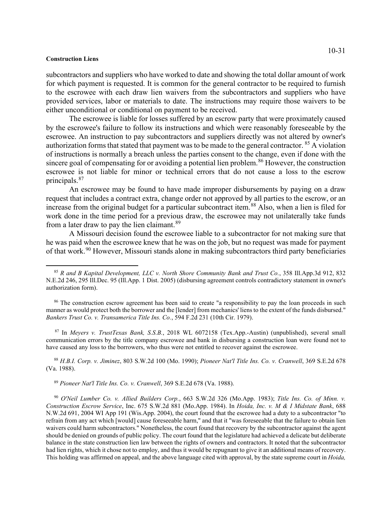subcontractors and suppliers who have worked to date and showing the total dollar amount of work for which payment is requested. It is common for the general contractor to be required to furnish to the escrowee with each draw lien waivers from the subcontractors and suppliers who have provided services, labor or materials to date. The instructions may require those waivers to be either unconditional or conditional on payment to be received.

The escrowee is liable for losses suffered by an escrow party that were proximately caused by the escrowee's failure to follow its instructions and which were reasonably foreseeable by the escrowee. An instruction to pay subcontractors and suppliers directly was not altered by owner's authorization forms that stated that payment was to be made to the general contractor.  $85$  A violation of instructions is normally a breach unless the parties consent to the change, even if done with the sincere goal of compensating for or avoiding a potential lien problem.<sup>[86](#page-30-1)</sup> However, the construction escrowee is not liable for minor or technical errors that do not cause a loss to the escrow principals.[87](#page-30-2)

An escrowee may be found to have made improper disbursements by paying on a draw request that includes a contract extra, change order not approved by all parties to the escrow, or an increase from the original budget for a particular subcontract item.<sup>[88](#page-30-3)</sup> Also, when a lien is filed for work done in the time period for a previous draw, the escrowee may not unilaterally take funds from a later draw to pay the lien claimant.<sup>[89](#page-30-4)</sup>

A Missouri decision found the escrowee liable to a subcontractor for not making sure that he was paid when the escrowee knew that he was on the job, but no request was made for payment of that work.<sup>[90](#page-30-5)</sup> However, Missouri stands alone in making subcontractors third party beneficiaries

<span id="page-30-2"></span><sup>87</sup> In *Meyers v. TrustTexas Bank, S.S.B.*, 2018 WL 6072158 (Tex.App.-Austin) (unpublished), several small communication errors by the title company escrowee and bank in disbursing a construction loan were found not to have caused any loss to the borrowers, who thus were not entitled to recover against the escrowee.

<span id="page-30-3"></span> 88 *H.B.I. Corp. v. Jiminez*, 803 S.W.2d 100 (Mo. 1990); *Pioneer Nat'l Title Ins. Co. v. Cranwell*, 369 S.E.2d 678 (Va. 1988).

89 *Pioneer Nat'l Title Ins. Co. v. Cranwell*, 369 S.E.2d 678 (Va. 1988).

<span id="page-30-0"></span> <sup>85</sup> *R and B Kapital Development, LLC v. North Shore Community Bank and Trust Co.*, 358 Ill.App.3d 912, 832 N.E.2d 246, 295 Ill.Dec. 95 (Ill.App. 1 Dist. 2005) (disbursing agreement controls contradictory statement in owner's authorization form).

<span id="page-30-1"></span><sup>&</sup>lt;sup>86</sup> The construction escrow agreement has been said to create "a responsibility to pay the loan proceeds in such manner as would protect both the borrower and the [lender] from mechanics' liens to the extent of the funds disbursed." *Bankers Trust Co. v. Transamerica Title Ins. Co.*, 594 F.2d 231 (10th Cir. 1979).

<span id="page-30-5"></span><span id="page-30-4"></span> <sup>90</sup> *O'Neil Lumber Co. v. Allied Builders Corp.*, 663 S.W.2d 326 (Mo.App. 1983); *Title Ins. Co. of Minn. v. Construction Escrow Service*, Inc. 675 S.W.2d 881 (Mo.App. 1984). In *Hoida, Inc. v. M & I Midstate Bank*, 688 N.W.2d 691, 2004 WI App 191 (Wis.App. 2004), the court found that the escrowee had a duty to a subcontractor "to refrain from any act which [would] cause foreseeable harm," and that it "was foreseeable that the failure to obtain lien waivers could harm subcontractors." Nonetheless, the court found that recovery by the subcontractor against the agent should be denied on grounds of public policy. The court found that the legislature had achieved a delicate but deliberate balance in the state construction lien law between the rights of owners and contractors. It noted that the subcontractor had lien rights, which it chose not to employ, and thus it would be repugnant to give it an additional means of recovery. This holding was affirmed on appeal, and the above language cited with approval, by the state supreme court in *Hoida,*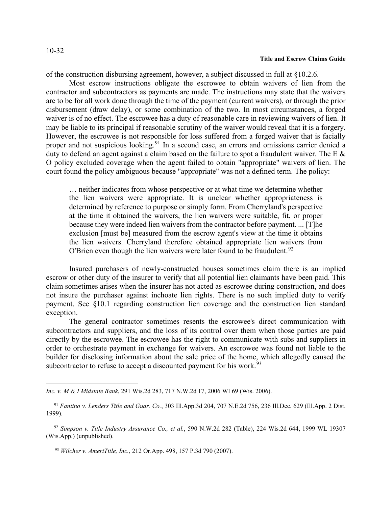# 10-32

#### **Title and Escrow Claims Guide**

of the construction disbursing agreement, however, a subject discussed in full at §10.2.6.

Most escrow instructions obligate the escrowee to obtain waivers of lien from the contractor and subcontractors as payments are made. The instructions may state that the waivers are to be for all work done through the time of the payment (current waivers), or through the prior disbursement (draw delay), or some combination of the two. In most circumstances, a forged waiver is of no effect. The escrowee has a duty of reasonable care in reviewing waivers of lien. It may be liable to its principal if reasonable scrutiny of the waiver would reveal that it is a forgery. However, the escrowee is not responsible for loss suffered from a forged waiver that is facially proper and not suspicious looking.<sup>[91](#page-31-0)</sup> In a second case, an errors and omissions carrier denied a duty to defend an agent against a claim based on the failure to spot a fraudulent waiver. The E  $\&$ O policy excluded coverage when the agent failed to obtain "appropriate" waivers of lien. The court found the policy ambiguous because "appropriate" was not a defined term. The policy:

… neither indicates from whose perspective or at what time we determine whether the lien waivers were appropriate. It is unclear whether appropriateness is determined by reference to purpose or simply form. From Cherryland's perspective at the time it obtained the waivers, the lien waivers were suitable, fit, or proper because they were indeed lien waivers from the contractor before payment. ... [T]he exclusion [must be] measured from the escrow agent's view at the time it obtains the lien waivers. Cherryland therefore obtained appropriate lien waivers from O'Brien even though the lien waivers were later found to be fraudulent.<sup>[92](#page-31-1)</sup>

Insured purchasers of newly-constructed houses sometimes claim there is an implied escrow or other duty of the insurer to verify that all potential lien claimants have been paid. This claim sometimes arises when the insurer has not acted as escrowee during construction, and does not insure the purchaser against inchoate lien rights. There is no such implied duty to verify payment. See §10.1 regarding construction lien coverage and the construction lien standard exception.

The general contractor sometimes resents the escrowee's direct communication with subcontractors and suppliers, and the loss of its control over them when those parties are paid directly by the escrowee. The escrowee has the right to communicate with subs and suppliers in order to orchestrate payment in exchange for waivers. An escrowee was found not liable to the builder for disclosing information about the sale price of the home, which allegedly caused the subcontractor to refuse to accept a discounted payment for his work.<sup>[93](#page-31-2)</sup>

<sup>93</sup> *Wilcher v. AmeriTitle, Inc.*, 212 Or.App. 498, 157 P.3d 790 (2007).

*Inc. v. M & I Midstate Bank*, 291 Wis.2d 283, 717 N.W.2d 17, 2006 WI 69 (Wis. 2006).

<span id="page-31-0"></span> <sup>91</sup> *Fantino v. Lenders Title and Guar. Co.*, 303 Ill.App.3d 204, 707 N.E.2d 756, 236 Ill.Dec. 629 (Ill.App. 2 Dist. 1999).

<span id="page-31-2"></span><span id="page-31-1"></span> <sup>92</sup> *Simpson v. Title Industry Assurance Co., et al.*, 590 N.W.2d 282 (Table), 224 Wis.2d 644, 1999 WL 19307 (Wis.App.) (unpublished).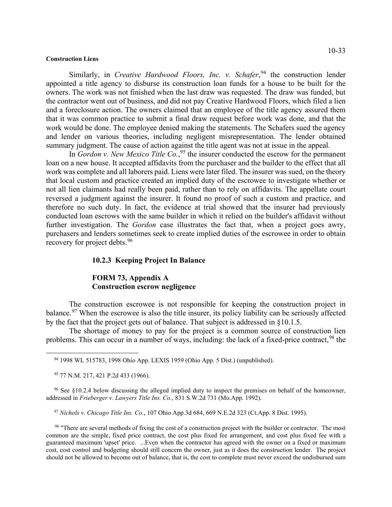Similarly, in *Creative Hardwood Floors, Inc. v. Schafer*, <sup>[94](#page-32-0)</sup> the construction lender appointed a title agency to disburse its construction loan funds for a house to be built for the owners. The work was not finished when the last draw was requested. The draw was funded, but the contractor went out of business, and did not pay Creative Hardwood Floors, which filed a lien and a foreclosure action. The owners claimed that an employee of the title agency assured them that it was common practice to submit a final draw request before work was done, and that the work would be done. The employee denied making the statements. The Schafers sued the agency and lender on various theories, including negligent misrepresentation. The lender obtained summary judgment. The cause of action against the title agent was not at issue in the appeal.

In *Gordon v. New Mexico Title Co.*, [95](#page-32-1) the insurer conducted the escrow for the permanent loan on a new house. It accepted affidavits from the purchaser and the builder to the effect that all work was complete and all laborers paid. Liens were later filed. The insurer was sued, on the theory that local custom and practice created an implied duty of the escrowee to investigate whether or not all lien claimants had really been paid, rather than to rely on affidavits. The appellate court reversed a judgment against the insurer. It found no proof of such a custom and practice, and therefore no such duty. In fact, the evidence at trial showed that the insurer had previously conducted loan escrows with the same builder in which it relied on the builder's affidavit without further investigation. The *Gordon* case illustrates the fact that, when a project goes awry, purchasers and lenders sometimes seek to create implied duties of the escrowee in order to obtain recovery for project debts.<sup>[96](#page-32-2)</sup>

# **10.2.3 Keeping Project In Balance**

# **FORM 73, Appendix A Construction escrow negligence**

The construction escrowee is not responsible for keeping the construction project in balance.<sup>[97](#page-32-3)</sup> When the escrowee is also the title insurer, its policy liability can be seriously affected by the fact that the project gets out of balance. That subject is addressed in §10.1.5.

The shortage of money to pay for the project is a common source of construction lien problems. This can occur in a number of ways, including: the lack of a fixed-price contract, <sup>[98](#page-32-4)</sup> the

<span id="page-32-0"></span>94 1998 WL 515783, 1998 Ohio App. LEXIS 1959 (Ohio App. 5 Dist.) (unpublished).

95 77 N.M. 217, 421 P.2d 433 (1966).

<span id="page-32-2"></span><span id="page-32-1"></span> 96 See §10.2.4 below discussing the alleged implied duty to inspect the premises on behalf of the homeowner, addressed in *Frieberger v. Lawyers Title Ins. Co.*, 831 S.W.2d 731 (Mo.App. 1992).

97 *Nichols v. Chicago Title Ins. Co.*, 107 Ohio App.3d 684, 669 N.E.2d 323 (Ct.App. 8 Dist. 1995).

<span id="page-32-4"></span><span id="page-32-3"></span><sup>98</sup> "There are several methods of fixing the cost of a construction project with the builder or contractor. The most common are the simple, fixed price contract, the cost plus fixed fee arrangement, and cost plus fixed fee with a guaranteed maximum 'upset' price. ...Even when the contractor has agreed with the owner on a fixed or maximum cost, cost control and budgeting should still concern the owner, just as it does the construction lender. The project should not be allowed to become out of balance, that is, the cost to complete must never exceed the undisbursed sum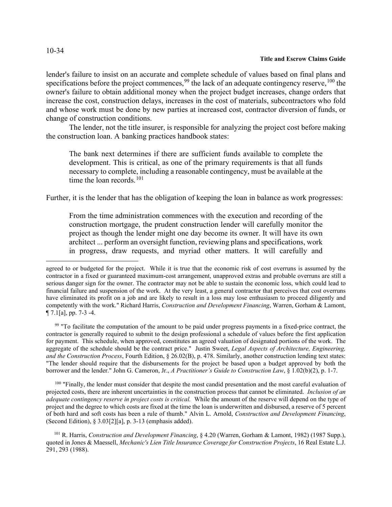lender's failure to insist on an accurate and complete schedule of values based on final plans and specifications before the project commences,  $99$  the lack of an adequate contingency reserve,  $100$  the owner's failure to obtain additional money when the project budget increases, change orders that increase the cost, construction delays, increases in the cost of materials, subcontractors who fold and whose work must be done by new parties at increased cost, contractor diversion of funds, or change of construction conditions.

The lender, not the title insurer, is responsible for analyzing the project cost before making the construction loan. A banking practices handbook states:

The bank next determines if there are sufficient funds available to complete the development. This is critical, as one of the primary requirements is that all funds necessary to complete, including a reasonable contingency, must be available at the time the loan records. $101$ 

Further, it is the lender that has the obligation of keeping the loan in balance as work progresses:

From the time administration commences with the execution and recording of the construction mortgage, the prudent construction lender will carefully monitor the project as though the lender might one day become its owner. It will have its own architect ... perform an oversight function, reviewing plans and specifications, work in progress, draw requests, and myriad other matters. It will carefully and

<span id="page-33-0"></span><sup>99</sup> "To facilitate the computation of the amount to be paid under progress payments in a fixed-price contract, the contractor is generally required to submit to the design professional a schedule of values before the first application for payment. This schedule, when approved, constitutes an agreed valuation of designated portions of the work. The aggregate of the schedule should be the contract price." Justin Sweet, *Legal Aspects of Architecture, Engineering, and the Construction Process*, Fourth Edition, § 26.02(B), p. 478. Similarly, another construction lending text states: "The lender should require that the disbursements for the project be based upon a budget approved by both the borrower and the lender." John G. Cameron, Jr., *A Practitioner's Guide to Construction Law*, § 1.02(b)(2), p. 1-7.

<span id="page-33-1"></span><sup>100</sup> "Finally, the lender must consider that despite the most candid presentation and the most careful evaluation of projected costs, there are inherent uncertainties in the construction process that cannot be eliminated. *Inclusion of an adequate contingency reserve in project costs is critical.* While the amount of the reserve will depend on the type of project and the degree to which costs are fixed at the time the loan is underwritten and disbursed, a reserve of 5 percent of both hard and soft costs has been a rule of thumb." Alvin L. Arnold, *Construction and Development Financing*, (Second Edition), § 3.03[2][a], p. 3-13 (emphasis added).

<span id="page-33-2"></span> 101 R. Harris, *Construction and Development Financing*, § 4.20 (Warren, Gorham & Lamont, 1982) (1987 Supp.), quoted in Jones & Maessell, *Mechanic's Lien Title Insurance Coverage for Construction Projects*, 16 Real Estate L.J. 291, 293 (1988).

agreed to or budgeted for the project. While it is true that the economic risk of cost overruns is assumed by the contractor in a fixed or guaranteed maximum-cost arrangement, unapproved extras and probable overruns are still a serious danger sign for the owner. The contractor may not be able to sustain the economic loss, which could lead to financial failure and suspension of the work. At the very least, a general contractor that perceives that cost overruns have eliminated its profit on a job and are likely to result in a loss may lose enthusiasm to proceed diligently and competently with the work." Richard Harris, *Construction and Development Financing*, Warren, Gorham & Lamont, ¶ 7.1[a], pp. 7-3 -4.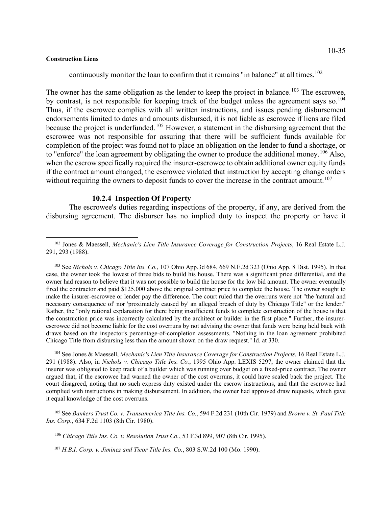continuously monitor the loan to confirm that it remains "in balance" at all times.<sup>[102](#page-34-0)</sup>

The owner has the same obligation as the lender to keep the project in balance.<sup>[103](#page-34-1)</sup> The escrowee, by contrast, is not responsible for keeping track of the budget unless the agreement says so.<sup>[104](#page-34-2)</sup> Thus, if the escrowee complies with all written instructions, and issues pending disbursement endorsements limited to dates and amounts disbursed, it is not liable as escrowee if liens are filed because the project is underfunded.[105](#page-34-3) However, a statement in the disbursing agreement that the escrowee was not responsible for assuring that there will be sufficient funds available for completion of the project was found not to place an obligation on the lender to fund a shortage, or to "enforce" the loan agreement by obligating the owner to produce the additional money.<sup>[106](#page-34-4)</sup> Also, when the escrow specifically required the insurer-escrowee to obtain additional owner equity funds if the contract amount changed, the escrowee violated that instruction by accepting change orders without requiring the owners to deposit funds to cover the increase in the contract amount.<sup>[107](#page-34-5)</sup>

## **10.2.4 Inspection Of Property**

The escrowee's duties regarding inspections of the property, if any, are derived from the disbursing agreement. The disburser has no implied duty to inspect the property or have it

<span id="page-34-2"></span> 104 See Jones & Maessell, *Mechanic's Lien Title Insurance Coverage for Construction Projects*, 16 Real Estate L.J. 291 (1988). Also, in *Nichols v. Chicago Title Ins. Co.*, 1995 Ohio App. LEXIS 5297, the owner claimed that the insurer was obligated to keep track of a builder which was running over budget on a fixed-price contract. The owner argued that, if the escrowee had warned the owner of the cost overruns, it could have scaled back the project. The court disagreed, noting that no such express duty existed under the escrow instructions, and that the escrowee had complied with instructions in making disbursement. In addition, the owner had approved draw requests, which gave it equal knowledge of the cost overruns.

<span id="page-34-4"></span><span id="page-34-3"></span> 105 See *Bankers Trust Co. v. Transamerica Title Ins. Co.*, 594 F.2d 231 (10th Cir. 1979) and *Brown v. St. Paul Title Ins. Corp.*, 634 F.2d 1103 (8th Cir. 1980).

<sup>106</sup> *Chicago Title Ins. Co. v. Resolution Trust Co.*, 53 F.3d 899, 907 (8th Cir. 1995).

<span id="page-34-5"></span>107 *H.B.I. Corp. v. Jiminez and Ticor Title Ins. Co.*, 803 S.W.2d 100 (Mo. 1990).

<span id="page-34-0"></span> <sup>102</sup> Jones & Maessell, *Mechanic's Lien Title Insurance Coverage for Construction Projects*, 16 Real Estate L.J. 291, 293 (1988).

<span id="page-34-1"></span> <sup>103</sup> See *Nichols v. Chicago Title Ins. Co.*, 107 Ohio App.3d 684, 669 N.E.2d 323 (Ohio App. 8 Dist. 1995). In that case, the owner took the lowest of three bids to build his house. There was a significant price differential, and the owner had reason to believe that it was not possible to build the house for the low bid amount. The owner eventually fired the contractor and paid \$125,000 above the original contract price to complete the house. The owner sought to make the insurer-escrowee or lender pay the difference. The court ruled that the overruns were not "the 'natural and necessary consequence of' nor 'proximately caused by' an alleged breach of duty by Chicago Title" or the lender." Rather, the "only rational explanation for there being insufficient funds to complete construction of the house is that the construction price was incorrectly calculated by the architect or builder in the first place." Further, the insurerescrowee did not become liable for the cost overruns by not advising the owner that funds were being held back with draws based on the inspector's percentage-of-completion assessments. "Nothing in the loan agreement prohibited Chicago Title from disbursing less than the amount shown on the draw request." Id. at 330.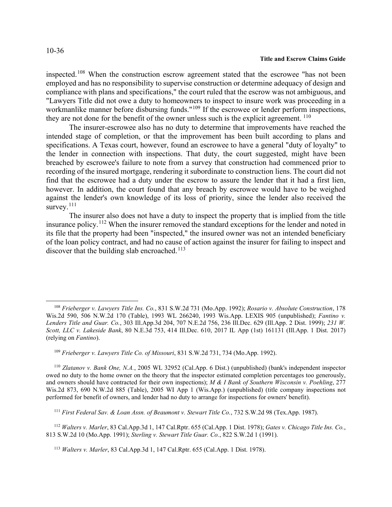## 10-36

#### **Title and Escrow Claims Guide**

inspected.[108](#page-35-0) When the construction escrow agreement stated that the escrowee "has not been employed and has no responsibility to supervise construction or determine adequacy of design and compliance with plans and specifications," the court ruled that the escrow was not ambiguous, and "Lawyers Title did not owe a duty to homeowners to inspect to insure work was proceeding in a workmanlike manner before disbursing funds."<sup>[109](#page-35-1)</sup> If the escrowee or lender perform inspections, they are not done for the benefit of the owner unless such is the explicit agreement.  $110$ 

The insurer-escrowee also has no duty to determine that improvements have reached the intended stage of completion, or that the improvement has been built according to plans and specifications. A Texas court, however, found an escrowee to have a general "duty of loyalty" to the lender in connection with inspections. That duty, the court suggested, might have been breached by escrowee's failure to note from a survey that construction had commenced prior to recording of the insured mortgage, rendering it subordinate to construction liens. The court did not find that the escrowee had a duty under the escrow to assure the lender that it had a first lien, however. In addition, the court found that any breach by escrowee would have to be weighed against the lender's own knowledge of its loss of priority, since the lender also received the survey.<sup>[111](#page-35-3)</sup>

The insurer also does not have a duty to inspect the property that is implied from the title insurance policy.<sup>[112](#page-35-4)</sup> When the insurer removed the standard exceptions for the lender and noted in its file that the property had been "inspected," the insured owner was not an intended beneficiary of the loan policy contract, and had no cause of action against the insurer for failing to inspect and discover that the building slab encroached.<sup>[113](#page-35-5)</sup>

<span id="page-35-2"></span><span id="page-35-1"></span> 110 *Zlatanov v. Bank One, N.A.*, 2005 WL 32952 (Cal.App. 6 Dist.) (unpublished) (bank's independent inspector owed no duty to the home owner on the theory that the inspector estimated completion percentages too generously, and owners should have contracted for their own inspections); *M & I Bank of Southern Wisconsin v. Poehling*, 277 Wis.2d 873, 690 N.W.2d 885 (Table), 2005 WI App 1 (Wis.App.) (unpublished) (title company inspections not performed for benefit of owners, and lender had no duty to arrange for inspections for owners' benefit).

111 *First Federal Sav. & Loan Assn. of Beaumont v. Stewart Title Co.*, 732 S.W.2d 98 (Tex.App. 1987).

<span id="page-35-5"></span><span id="page-35-4"></span><span id="page-35-3"></span> 112 *Walters v. Marler*, 83 Cal.App.3d 1, 147 Cal.Rptr. 655 (Cal.App. 1 Dist. 1978); *Gates v. Chicago Title Ins. Co.*, 813 S.W.2d 10 (Mo.App. 1991); *Sterling v. Stewart Title Guar. Co.*, 822 S.W.2d 1 (1991).

<span id="page-35-0"></span> <sup>108</sup> *Frieberger v. Lawyers Title Ins. Co.*, 831 S.W.2d 731 (Mo.App. 1992); *Rosario v. Absolute Construction*, 178 Wis.2d 590, 506 N.W.2d 170 (Table), 1993 WL 266240, 1993 Wis.App. LEXIS 905 (unpublished); *Fantino v. Lenders Title and Guar. Co.*, 303 Ill.App.3d 204, 707 N.E.2d 756, 236 Ill.Dec. 629 (Ill.App. 2 Dist. 1999); *231 W. Scott, LLC v. Lakeside Bank*, 80 N.E.3d 753, 414 Ill.Dec. 610, 2017 IL App (1st) 161131 (Ill.App. 1 Dist. 2017) (relying on *Fantino*).

 <sup>109</sup> *Frieberger v. Lawyers Title Co. of Missouri*, 831 S.W.2d 731, 734 (Mo.App. 1992).

 <sup>113</sup> *Walters v. Marler*, 83 Cal.App.3d 1, 147 Cal.Rptr. 655 (Cal.App. 1 Dist. 1978).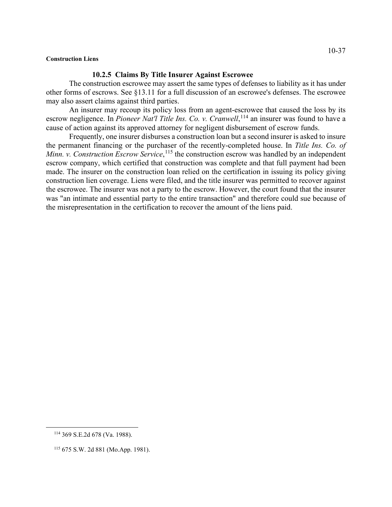## **10.2.5 Claims By Title Insurer Against Escrowee**

The construction escrowee may assert the same types of defenses to liability as it has under other forms of escrows. See §13.11 for a full discussion of an escrowee's defenses. The escrowee may also assert claims against third parties.

An insurer may recoup its policy loss from an agent-escrowee that caused the loss by its escrow negligence. In *Pioneer Nat'l Title Ins. Co. v. Cranwell*,<sup>[114](#page-36-0)</sup> an insurer was found to have a cause of action against its approved attorney for negligent disbursement of escrow funds.

Frequently, one insurer disburses a construction loan but a second insurer is asked to insure the permanent financing or the purchaser of the recently-completed house. In *Title Ins. Co. of Minn. v. Construction Escrow Service*, <sup>[115](#page-36-1)</sup> the construction escrow was handled by an independent escrow company, which certified that construction was complete and that full payment had been made. The insurer on the construction loan relied on the certification in issuing its policy giving construction lien coverage. Liens were filed, and the title insurer was permitted to recover against the escrowee. The insurer was not a party to the escrow. However, the court found that the insurer was "an intimate and essential party to the entire transaction" and therefore could sue because of the misrepresentation in the certification to recover the amount of the liens paid.

10-37

<span id="page-36-0"></span> <sup>114</sup> 369 S.E.2d 678 (Va. 1988).

<span id="page-36-1"></span> <sup>115</sup> 675 S.W. 2d 881 (Mo.App. 1981).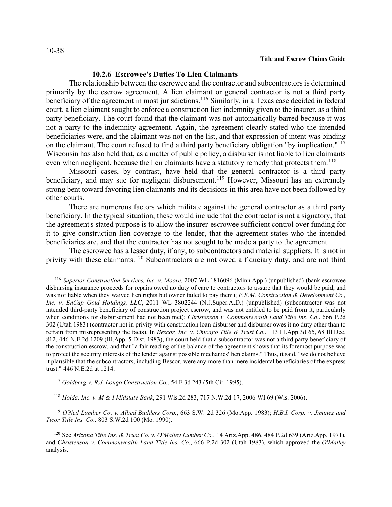# **10.2.6 Escrowee's Duties To Lien Claimants**

The relationship between the escrowee and the contractor and subcontractors is determined primarily by the escrow agreement. A lien claimant or general contractor is not a third party beneficiary of the agreement in most jurisdictions.<sup>[116](#page-37-0)</sup> Similarly, in a Texas case decided in federal court, a lien claimant sought to enforce a construction lien indemnity given to the insurer, as a third party beneficiary. The court found that the claimant was not automatically barred because it was not a party to the indemnity agreement. Again, the agreement clearly stated who the intended beneficiaries were, and the claimant was not on the list, and that expression of intent was binding on the claimant. The court refused to find a third party beneficiary obligation "by implication."<sup>[117](#page-37-1)</sup> Wisconsin has also held that, as a matter of public policy, a disburser is not liable to lien claimants even when negligent, because the lien claimants have a statutory remedy that protects them.<sup>[118](#page-37-2)</sup>

Missouri cases, by contrast, have held that the general contractor is a third party beneficiary, and may sue for negligent disbursement.<sup>[119](#page-37-3)</sup> However, Missouri has an extremely strong bent toward favoring lien claimants and its decisions in this area have not been followed by other courts.

There are numerous factors which militate against the general contractor as a third party beneficiary. In the typical situation, these would include that the contractor is not a signatory, that the agreement's stated purpose is to allow the insurer-escrowee sufficient control over funding for it to give construction lien coverage to the lender, that the agreement states who the intended beneficiaries are, and that the contractor has not sought to be made a party to the agreement.

The escrowee has a lesser duty, if any, to subcontractors and material suppliers. It is not in privity with these claimants.<sup>[120](#page-37-4)</sup> Subcontractors are not owed a fiduciary duty, and are not third

118 *Hoida, Inc. v. M & I Midstate Bank*, 291 Wis.2d 283, 717 N.W.2d 17, 2006 WI 69 (Wis. 2006).

<span id="page-37-3"></span><span id="page-37-2"></span> 119 *O'Neil Lumber Co. v. Allied Builders Corp.*, 663 S.W. 2d 326 (Mo.App. 1983); *H.B.I. Corp. v. Jiminez and Ticor Title Ins. Co.*, 803 S.W.2d 100 (Mo. 1990).

<span id="page-37-0"></span><sup>116</sup> *Superior Construction Services, Inc. v. Moore*, 2007 WL 1816096 (Minn.App.) (unpublished) (bank escrowee disbursing insurance proceeds for repairs owed no duty of care to contractors to assure that they would be paid, and was not liable when they waived lien rights but owner failed to pay them); *P.E.M. Construction & Development Co.*, *Inc. v. EnCap Gold Holdings, LLC*, 2011 WL 3802244 (N.J.Super.A.D.) (unpublished) (subcontractor was not intended third-party beneficiary of construction project escrow, and was not entitled to be paid from it, particularly when conditions for disbursement had not been met); *Christenson v. Commonwealth Land Title Ins. Co.*, 666 P.2d 302 (Utah 1983) (contractor not in privity with construction loan disburser and disburser owes it no duty other than to refrain from misrepresenting the facts). In *Bescor, Inc. v. Chicago Title & Trust Co.*, 113 Ill.App.3d 65, 68 Ill.Dec. 812, 446 N.E.2d 1209 (Ill.App. 5 Dist. 1983), the court held that a subcontractor was not a third party beneficiary of the construction escrow, and that "a fair reading of the balance of the agreement shows that its foremost purpose was to protect the security interests of the lender against possible mechanics' lien claims." Thus, it said, "we do not believe it plausible that the subcontractors, including Bescor, were any more than mere incidental beneficiaries of the express trust." 446 N.E.2d at 1214.

<span id="page-37-1"></span> <sup>117</sup> *Goldberg v. R.J. Longo Construction Co.*, 54 F.3d 243 (5th Cir. 1995).

<span id="page-37-4"></span> <sup>120</sup> See *Arizona Title Ins. & Trust Co. v. O'Malley Lumber Co.*, 14 Ariz.App. 486, 484 P.2d 639 (Ariz.App. 1971), and *Christenson v. Commonwealth Land Title Ins. Co.*, 666 P.2d 302 (Utah 1983), which approved the *O'Malley*  analysis.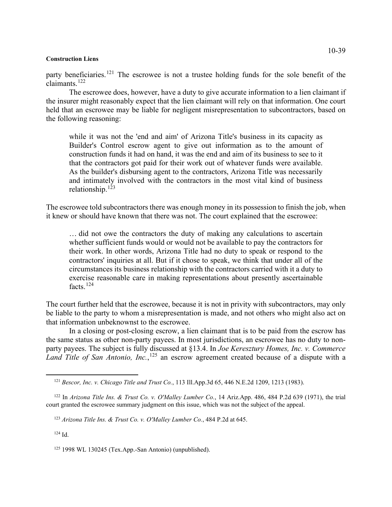party beneficiaries.<sup>[121](#page-38-0)</sup> The escrowee is not a trustee holding funds for the sole benefit of the claimants.[122](#page-38-1)

The escrowee does, however, have a duty to give accurate information to a lien claimant if the insurer might reasonably expect that the lien claimant will rely on that information. One court held that an escrowee may be liable for negligent misrepresentation to subcontractors, based on the following reasoning:

while it was not the 'end and aim' of Arizona Title's business in its capacity as Builder's Control escrow agent to give out information as to the amount of construction funds it had on hand, it was the end and aim of its business to see to it that the contractors got paid for their work out of whatever funds were available. As the builder's disbursing agent to the contractors, Arizona Title was necessarily and intimately involved with the contractors in the most vital kind of business relationship.[123](#page-38-2)

The escrowee told subcontractors there was enough money in its possession to finish the job, when it knew or should have known that there was not. The court explained that the escrowee:

… did not owe the contractors the duty of making any calculations to ascertain whether sufficient funds would or would not be available to pay the contractors for their work. In other words, Arizona Title had no duty to speak or respond to the contractors' inquiries at all. But if it chose to speak, we think that under all of the circumstances its business relationship with the contractors carried with it a duty to exercise reasonable care in making representations about presently ascertainable facts.[124](#page-38-3)

The court further held that the escrowee, because it is not in privity with subcontractors, may only be liable to the party to whom a misrepresentation is made, and not others who might also act on that information unbeknownst to the escrowee.

In a closing or post-closing escrow, a lien claimant that is to be paid from the escrow has the same status as other non-party payees. In most jurisdictions, an escrowee has no duty to nonparty payees. The subject is fully discussed at §13.4. In *Joe Keresztury Homes, Inc. v. Commerce*  Land Title of San Antonio, Inc., <sup>[125](#page-38-4)</sup> an escrow agreement created because of a dispute with a

<span id="page-38-3"></span>124 Id.

 <sup>121</sup> *Bescor, Inc. v. Chicago Title and Trust Co.*, 113 Ill.App.3d 65, 446 N.E.2d 1209, 1213 (1983).

<span id="page-38-2"></span><span id="page-38-1"></span><span id="page-38-0"></span> <sup>122</sup> In *Arizona Title Ins. & Trust Co. v. O'Malley Lumber Co.*, 14 Ariz.App. 486, 484 P.2d 639 (1971), the trial court granted the escrowee summary judgment on this issue, which was not the subject of the appeal.

 <sup>123</sup> *Arizona Title Ins. & Trust Co. v. O'Malley Lumber Co.*, 484 P.2d at 645.

<span id="page-38-4"></span> <sup>125</sup> 1998 WL 130245 (Tex.App.-San Antonio) (unpublished).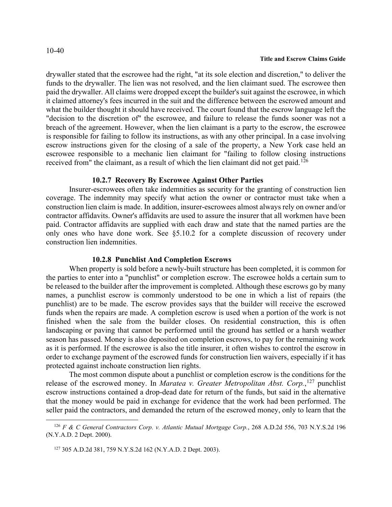drywaller stated that the escrowee had the right, "at its sole election and discretion," to deliver the funds to the drywaller. The lien was not resolved, and the lien claimant sued. The escrowee then paid the drywaller. All claims were dropped except the builder's suit against the escrowee, in which it claimed attorney's fees incurred in the suit and the difference between the escrowed amount and what the builder thought it should have received. The court found that the escrow language left the "decision to the discretion of" the escrowee, and failure to release the funds sooner was not a breach of the agreement. However, when the lien claimant is a party to the escrow, the escrowee is responsible for failing to follow its instructions, as with any other principal. In a case involving escrow instructions given for the closing of a sale of the property, a New York case held an escrowee responsible to a mechanic lien claimant for "failing to follow closing instructions received from" the claimant, as a result of which the lien claimant did not get paid.<sup>[126](#page-39-0)</sup>

## **10.2.7 Recovery By Escrowee Against Other Parties**

Insurer-escrowees often take indemnities as security for the granting of construction lien coverage. The indemnity may specify what action the owner or contractor must take when a construction lien claim is made. In addition, insurer-escrowees almost always rely on owner and/or contractor affidavits. Owner's affidavits are used to assure the insurer that all workmen have been paid. Contractor affidavits are supplied with each draw and state that the named parties are the only ones who have done work. See §5.10.2 for a complete discussion of recovery under construction lien indemnities.

## **10.2.8 Punchlist And Completion Escrows**

When property is sold before a newly-built structure has been completed, it is common for the parties to enter into a "punchlist" or completion escrow. The escrowee holds a certain sum to be released to the builder after the improvement is completed. Although these escrows go by many names, a punchlist escrow is commonly understood to be one in which a list of repairs (the punchlist) are to be made. The escrow provides says that the builder will receive the escrowed funds when the repairs are made. A completion escrow is used when a portion of the work is not finished when the sale from the builder closes. On residential construction, this is often landscaping or paving that cannot be performed until the ground has settled or a harsh weather season has passed. Money is also deposited on completion escrows, to pay for the remaining work as it is performed. If the escrowee is also the title insurer, it often wishes to control the escrow in order to exchange payment of the escrowed funds for construction lien waivers, especially if it has protected against inchoate construction lien rights.

The most common dispute about a punchlist or completion escrow is the conditions for the release of the escrowed money. In *Maratea v. Greater Metropolitan Abst. Corp.*, [127](#page-39-1) punchlist escrow instructions contained a drop-dead date for return of the funds, but said in the alternative that the money would be paid in exchange for evidence that the work had been performed. The seller paid the contractors, and demanded the return of the escrowed money, only to learn that the

<span id="page-39-1"></span><span id="page-39-0"></span> <sup>126</sup> *F & C General Contractors Corp. v. Atlantic Mutual Mortgage Corp.*, 268 A.D.2d 556, 703 N.Y.S.2d 196 (N.Y.A.D. 2 Dept. 2000).

 <sup>127</sup> 305 A.D.2d 381, 759 N.Y.S.2d 162 (N.Y.A.D. 2 Dept. 2003).